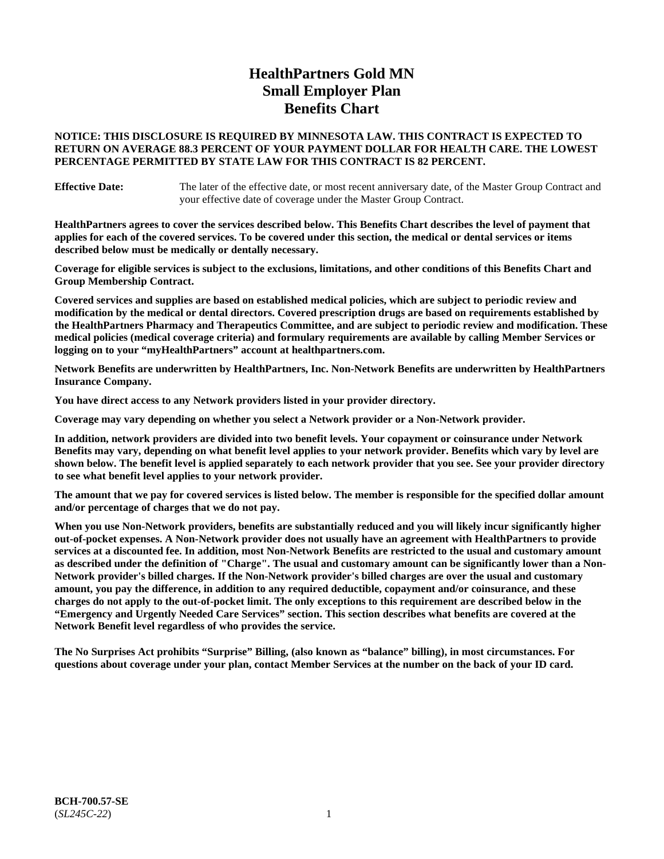# **HealthPartners Gold MN Small Employer Plan Benefits Chart**

### **NOTICE: THIS DISCLOSURE IS REQUIRED BY MINNESOTA LAW. THIS CONTRACT IS EXPECTED TO RETURN ON AVERAGE 88.3 PERCENT OF YOUR PAYMENT DOLLAR FOR HEALTH CARE. THE LOWEST PERCENTAGE PERMITTED BY STATE LAW FOR THIS CONTRACT IS 82 PERCENT.**

**Effective Date:** The later of the effective date, or most recent anniversary date, of the Master Group Contract and your effective date of coverage under the Master Group Contract.

**HealthPartners agrees to cover the services described below. This Benefits Chart describes the level of payment that applies for each of the covered services. To be covered under this section, the medical or dental services or items described below must be medically or dentally necessary.**

**Coverage for eligible services is subject to the exclusions, limitations, and other conditions of this Benefits Chart and Group Membership Contract.**

**Covered services and supplies are based on established medical policies, which are subject to periodic review and modification by the medical or dental directors. Covered prescription drugs are based on requirements established by the HealthPartners Pharmacy and Therapeutics Committee, and are subject to periodic review and modification. These medical policies (medical coverage criteria) and formulary requirements are available by calling Member Services or logging on to your "myHealthPartners" account at [healthpartners.com.](https://www.healthpartners.com/hp/index.html)**

**Network Benefits are underwritten by HealthPartners, Inc. Non-Network Benefits are underwritten by HealthPartners Insurance Company.** 

**You have direct access to any Network providers listed in your provider directory.**

**Coverage may vary depending on whether you select a Network provider or a Non-Network provider.**

**In addition, network providers are divided into two benefit levels. Your copayment or coinsurance under Network Benefits may vary, depending on what benefit level applies to your network provider. Benefits which vary by level are shown below. The benefit level is applied separately to each network provider that you see. See your provider directory to see what benefit level applies to your network provider.**

**The amount that we pay for covered services is listed below. The member is responsible for the specified dollar amount and/or percentage of charges that we do not pay.**

**When you use Non-Network providers, benefits are substantially reduced and you will likely incur significantly higher out-of-pocket expenses. A Non-Network provider does not usually have an agreement with HealthPartners to provide services at a discounted fee. In addition, most Non-Network Benefits are restricted to the usual and customary amount as described under the definition of "Charge". The usual and customary amount can be significantly lower than a Non-Network provider's billed charges. If the Non-Network provider's billed charges are over the usual and customary amount, you pay the difference, in addition to any required deductible, copayment and/or coinsurance, and these charges do not apply to the out-of-pocket limit. The only exceptions to this requirement are described below in the "Emergency and Urgently Needed Care Services" section. This section describes what benefits are covered at the Network Benefit level regardless of who provides the service.**

**The No Surprises Act prohibits "Surprise" Billing, (also known as "balance" billing), in most circumstances. For questions about coverage under your plan, contact Member Services at the number on the back of your ID card.**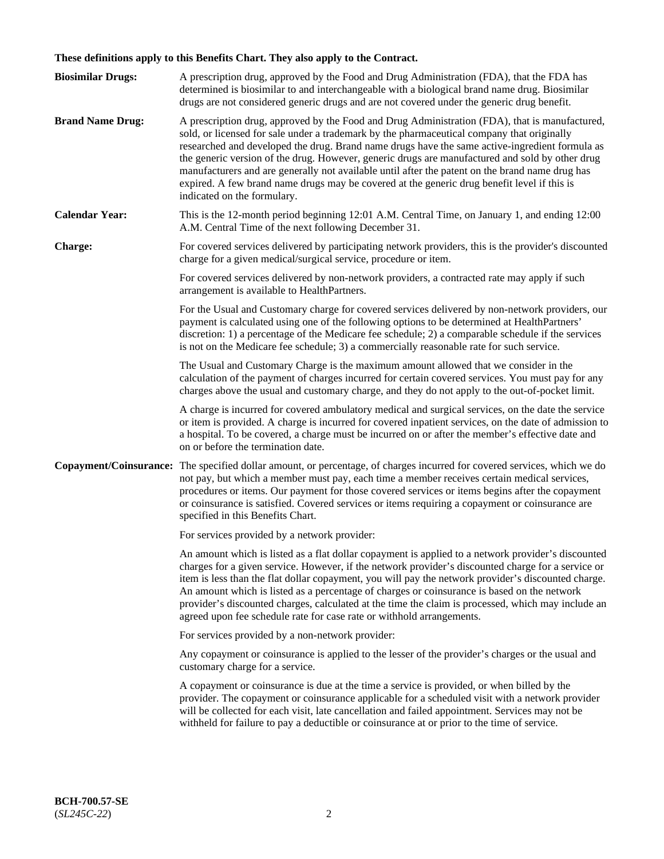# **These definitions apply to this Benefits Chart. They also apply to the Contract.**

| <b>Biosimilar Drugs:</b> | A prescription drug, approved by the Food and Drug Administration (FDA), that the FDA has<br>determined is biosimilar to and interchangeable with a biological brand name drug. Biosimilar<br>drugs are not considered generic drugs and are not covered under the generic drug benefit.                                                                                                                                                                                                                                                                                                                                           |
|--------------------------|------------------------------------------------------------------------------------------------------------------------------------------------------------------------------------------------------------------------------------------------------------------------------------------------------------------------------------------------------------------------------------------------------------------------------------------------------------------------------------------------------------------------------------------------------------------------------------------------------------------------------------|
| <b>Brand Name Drug:</b>  | A prescription drug, approved by the Food and Drug Administration (FDA), that is manufactured,<br>sold, or licensed for sale under a trademark by the pharmaceutical company that originally<br>researched and developed the drug. Brand name drugs have the same active-ingredient formula as<br>the generic version of the drug. However, generic drugs are manufactured and sold by other drug<br>manufacturers and are generally not available until after the patent on the brand name drug has<br>expired. A few brand name drugs may be covered at the generic drug benefit level if this is<br>indicated on the formulary. |
| <b>Calendar Year:</b>    | This is the 12-month period beginning 12:01 A.M. Central Time, on January 1, and ending 12:00<br>A.M. Central Time of the next following December 31.                                                                                                                                                                                                                                                                                                                                                                                                                                                                              |
| <b>Charge:</b>           | For covered services delivered by participating network providers, this is the provider's discounted<br>charge for a given medical/surgical service, procedure or item.                                                                                                                                                                                                                                                                                                                                                                                                                                                            |
|                          | For covered services delivered by non-network providers, a contracted rate may apply if such<br>arrangement is available to HealthPartners.                                                                                                                                                                                                                                                                                                                                                                                                                                                                                        |
|                          | For the Usual and Customary charge for covered services delivered by non-network providers, our<br>payment is calculated using one of the following options to be determined at HealthPartners'<br>discretion: 1) a percentage of the Medicare fee schedule; 2) a comparable schedule if the services<br>is not on the Medicare fee schedule; 3) a commercially reasonable rate for such service.                                                                                                                                                                                                                                  |
|                          | The Usual and Customary Charge is the maximum amount allowed that we consider in the<br>calculation of the payment of charges incurred for certain covered services. You must pay for any<br>charges above the usual and customary charge, and they do not apply to the out-of-pocket limit.                                                                                                                                                                                                                                                                                                                                       |
|                          | A charge is incurred for covered ambulatory medical and surgical services, on the date the service<br>or item is provided. A charge is incurred for covered inpatient services, on the date of admission to<br>a hospital. To be covered, a charge must be incurred on or after the member's effective date and<br>on or before the termination date.                                                                                                                                                                                                                                                                              |
| Copayment/Coinsurance:   | The specified dollar amount, or percentage, of charges incurred for covered services, which we do<br>not pay, but which a member must pay, each time a member receives certain medical services,<br>procedures or items. Our payment for those covered services or items begins after the copayment<br>or coinsurance is satisfied. Covered services or items requiring a copayment or coinsurance are<br>specified in this Benefits Chart.                                                                                                                                                                                        |
|                          | For services provided by a network provider:                                                                                                                                                                                                                                                                                                                                                                                                                                                                                                                                                                                       |
|                          | An amount which is listed as a flat dollar copayment is applied to a network provider's discounted<br>charges for a given service. However, if the network provider's discounted charge for a service or<br>item is less than the flat dollar copayment, you will pay the network provider's discounted charge.<br>An amount which is listed as a percentage of charges or coinsurance is based on the network<br>provider's discounted charges, calculated at the time the claim is processed, which may include an<br>agreed upon fee schedule rate for case rate or withhold arrangements.                                      |
|                          | For services provided by a non-network provider:                                                                                                                                                                                                                                                                                                                                                                                                                                                                                                                                                                                   |
|                          | Any copayment or coinsurance is applied to the lesser of the provider's charges or the usual and<br>customary charge for a service.                                                                                                                                                                                                                                                                                                                                                                                                                                                                                                |
|                          | A copayment or coinsurance is due at the time a service is provided, or when billed by the<br>provider. The copayment or coinsurance applicable for a scheduled visit with a network provider<br>will be collected for each visit, late cancellation and failed appointment. Services may not be<br>withheld for failure to pay a deductible or coinsurance at or prior to the time of service.                                                                                                                                                                                                                                    |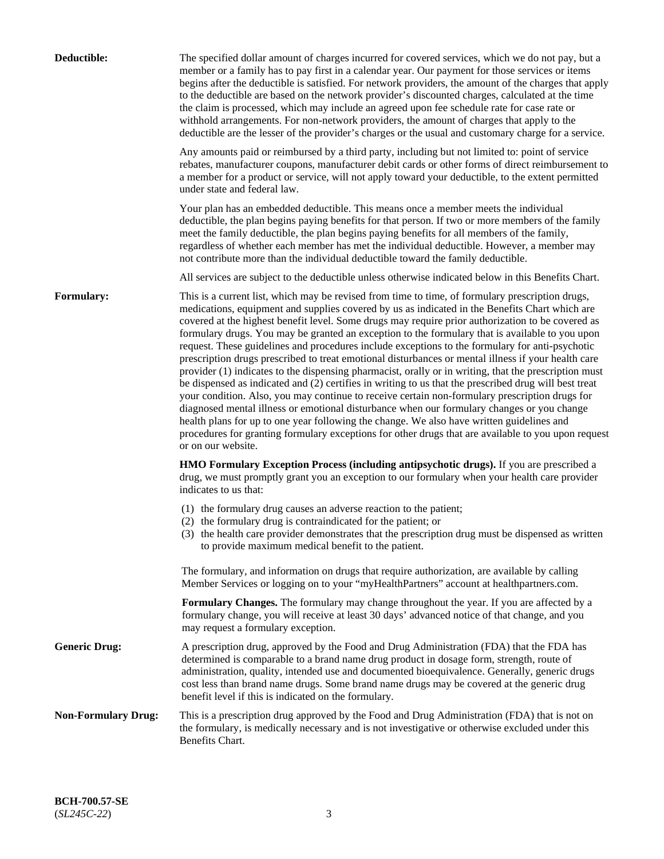| Deductible:                | The specified dollar amount of charges incurred for covered services, which we do not pay, but a<br>member or a family has to pay first in a calendar year. Our payment for those services or items<br>begins after the deductible is satisfied. For network providers, the amount of the charges that apply<br>to the deductible are based on the network provider's discounted charges, calculated at the time<br>the claim is processed, which may include an agreed upon fee schedule rate for case rate or<br>withhold arrangements. For non-network providers, the amount of charges that apply to the<br>deductible are the lesser of the provider's charges or the usual and customary charge for a service.                                                                                                                                                                                                                                                                                                                                                                                                                                                                                                                                             |
|----------------------------|------------------------------------------------------------------------------------------------------------------------------------------------------------------------------------------------------------------------------------------------------------------------------------------------------------------------------------------------------------------------------------------------------------------------------------------------------------------------------------------------------------------------------------------------------------------------------------------------------------------------------------------------------------------------------------------------------------------------------------------------------------------------------------------------------------------------------------------------------------------------------------------------------------------------------------------------------------------------------------------------------------------------------------------------------------------------------------------------------------------------------------------------------------------------------------------------------------------------------------------------------------------|
|                            | Any amounts paid or reimbursed by a third party, including but not limited to: point of service<br>rebates, manufacturer coupons, manufacturer debit cards or other forms of direct reimbursement to<br>a member for a product or service, will not apply toward your deductible, to the extent permitted<br>under state and federal law.                                                                                                                                                                                                                                                                                                                                                                                                                                                                                                                                                                                                                                                                                                                                                                                                                                                                                                                        |
|                            | Your plan has an embedded deductible. This means once a member meets the individual<br>deductible, the plan begins paying benefits for that person. If two or more members of the family<br>meet the family deductible, the plan begins paying benefits for all members of the family,<br>regardless of whether each member has met the individual deductible. However, a member may<br>not contribute more than the individual deductible toward the family deductible.                                                                                                                                                                                                                                                                                                                                                                                                                                                                                                                                                                                                                                                                                                                                                                                         |
|                            | All services are subject to the deductible unless otherwise indicated below in this Benefits Chart.                                                                                                                                                                                                                                                                                                                                                                                                                                                                                                                                                                                                                                                                                                                                                                                                                                                                                                                                                                                                                                                                                                                                                              |
| Formulary:                 | This is a current list, which may be revised from time to time, of formulary prescription drugs,<br>medications, equipment and supplies covered by us as indicated in the Benefits Chart which are<br>covered at the highest benefit level. Some drugs may require prior authorization to be covered as<br>formulary drugs. You may be granted an exception to the formulary that is available to you upon<br>request. These guidelines and procedures include exceptions to the formulary for anti-psychotic<br>prescription drugs prescribed to treat emotional disturbances or mental illness if your health care<br>provider (1) indicates to the dispensing pharmacist, orally or in writing, that the prescription must<br>be dispensed as indicated and (2) certifies in writing to us that the prescribed drug will best treat<br>your condition. Also, you may continue to receive certain non-formulary prescription drugs for<br>diagnosed mental illness or emotional disturbance when our formulary changes or you change<br>health plans for up to one year following the change. We also have written guidelines and<br>procedures for granting formulary exceptions for other drugs that are available to you upon request<br>or on our website. |
|                            | <b>HMO Formulary Exception Process (including antipsychotic drugs).</b> If you are prescribed a<br>drug, we must promptly grant you an exception to our formulary when your health care provider<br>indicates to us that:                                                                                                                                                                                                                                                                                                                                                                                                                                                                                                                                                                                                                                                                                                                                                                                                                                                                                                                                                                                                                                        |
|                            | (1) the formulary drug causes an adverse reaction to the patient;<br>(2) the formulary drug is contraindicated for the patient; or<br>(3) the health care provider demonstrates that the prescription drug must be dispensed as written<br>to provide maximum medical benefit to the patient.                                                                                                                                                                                                                                                                                                                                                                                                                                                                                                                                                                                                                                                                                                                                                                                                                                                                                                                                                                    |
|                            | The formulary, and information on drugs that require authorization, are available by calling<br>Member Services or logging on to your "myHealthPartners" account at healthpartners.com.                                                                                                                                                                                                                                                                                                                                                                                                                                                                                                                                                                                                                                                                                                                                                                                                                                                                                                                                                                                                                                                                          |
|                            | Formulary Changes. The formulary may change throughout the year. If you are affected by a<br>formulary change, you will receive at least 30 days' advanced notice of that change, and you<br>may request a formulary exception.                                                                                                                                                                                                                                                                                                                                                                                                                                                                                                                                                                                                                                                                                                                                                                                                                                                                                                                                                                                                                                  |
| <b>Generic Drug:</b>       | A prescription drug, approved by the Food and Drug Administration (FDA) that the FDA has<br>determined is comparable to a brand name drug product in dosage form, strength, route of<br>administration, quality, intended use and documented bioequivalence. Generally, generic drugs<br>cost less than brand name drugs. Some brand name drugs may be covered at the generic drug<br>benefit level if this is indicated on the formulary.                                                                                                                                                                                                                                                                                                                                                                                                                                                                                                                                                                                                                                                                                                                                                                                                                       |
| <b>Non-Formulary Drug:</b> | This is a prescription drug approved by the Food and Drug Administration (FDA) that is not on<br>the formulary, is medically necessary and is not investigative or otherwise excluded under this<br>Benefits Chart.                                                                                                                                                                                                                                                                                                                                                                                                                                                                                                                                                                                                                                                                                                                                                                                                                                                                                                                                                                                                                                              |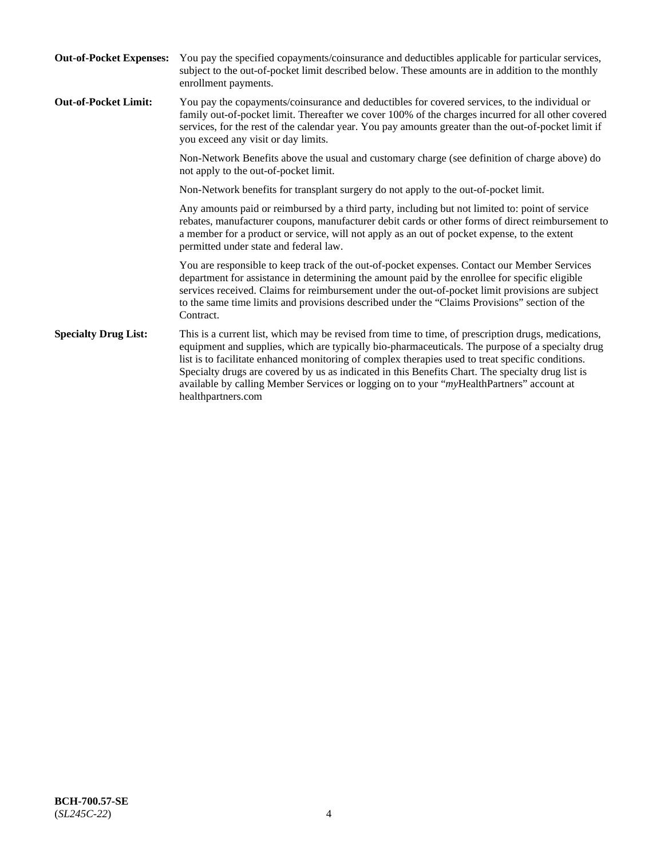| <b>Out-of-Pocket Expenses:</b> | You pay the specified copayments/coinsurance and deductibles applicable for particular services,<br>subject to the out-of-pocket limit described below. These amounts are in addition to the monthly<br>enrollment payments.                                                                                                                                                                                                                                                                                                        |
|--------------------------------|-------------------------------------------------------------------------------------------------------------------------------------------------------------------------------------------------------------------------------------------------------------------------------------------------------------------------------------------------------------------------------------------------------------------------------------------------------------------------------------------------------------------------------------|
| <b>Out-of-Pocket Limit:</b>    | You pay the copayments/coinsurance and deductibles for covered services, to the individual or<br>family out-of-pocket limit. Thereafter we cover 100% of the charges incurred for all other covered<br>services, for the rest of the calendar year. You pay amounts greater than the out-of-pocket limit if<br>you exceed any visit or day limits.                                                                                                                                                                                  |
|                                | Non-Network Benefits above the usual and customary charge (see definition of charge above) do<br>not apply to the out-of-pocket limit.                                                                                                                                                                                                                                                                                                                                                                                              |
|                                | Non-Network benefits for transplant surgery do not apply to the out-of-pocket limit.                                                                                                                                                                                                                                                                                                                                                                                                                                                |
|                                | Any amounts paid or reimbursed by a third party, including but not limited to: point of service<br>rebates, manufacturer coupons, manufacturer debit cards or other forms of direct reimbursement to<br>a member for a product or service, will not apply as an out of pocket expense, to the extent<br>permitted under state and federal law.                                                                                                                                                                                      |
|                                | You are responsible to keep track of the out-of-pocket expenses. Contact our Member Services<br>department for assistance in determining the amount paid by the enrollee for specific eligible<br>services received. Claims for reimbursement under the out-of-pocket limit provisions are subject<br>to the same time limits and provisions described under the "Claims Provisions" section of the<br>Contract.                                                                                                                    |
| <b>Specialty Drug List:</b>    | This is a current list, which may be revised from time to time, of prescription drugs, medications,<br>equipment and supplies, which are typically bio-pharmaceuticals. The purpose of a specialty drug<br>list is to facilitate enhanced monitoring of complex therapies used to treat specific conditions.<br>Specialty drugs are covered by us as indicated in this Benefits Chart. The specialty drug list is<br>available by calling Member Services or logging on to your "myHealthPartners" account at<br>healthpartners.com |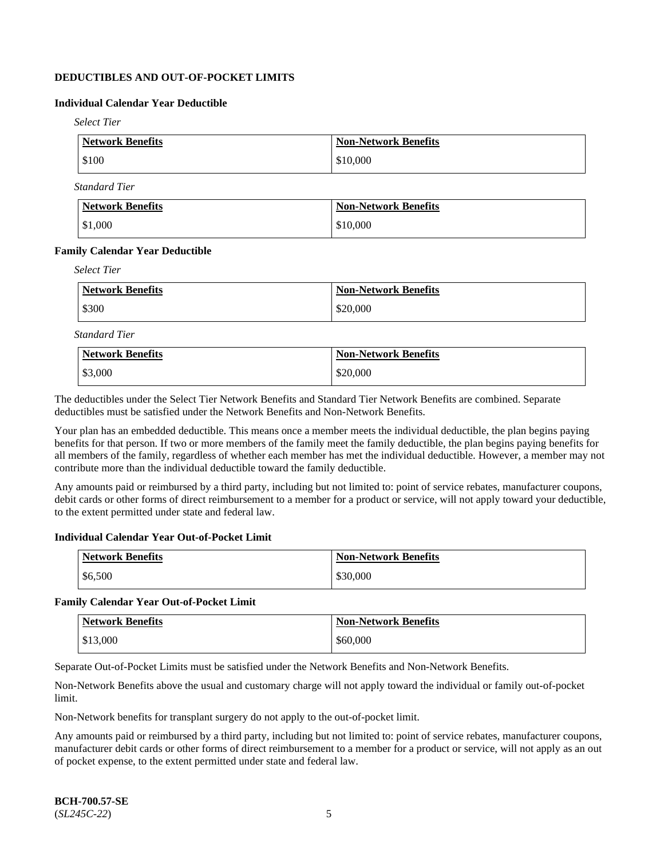# **DEDUCTIBLES AND OUT-OF-POCKET LIMITS**

### **Individual Calendar Year Deductible**

*Select Tier*

| Network Benefits | <b>Non-Network Benefits</b> |
|------------------|-----------------------------|
| \$100            | \$10,000                    |

*Standard Tier*

| <b>Network Benefits</b> | <b>Non-Network Benefits</b> |
|-------------------------|-----------------------------|
| $\frac{1}{2}$ \$1,000   | \$10,000                    |

#### **Family Calendar Year Deductible**

*Select Tier*

| <b>Network Benefits</b> | <b>Non-Network Benefits</b> |
|-------------------------|-----------------------------|
| \$300                   | \$20,000                    |

*Standard Tier*

| <b>Network Benefits</b> | <b>Non-Network Benefits</b> |
|-------------------------|-----------------------------|
| \$3,000                 | \$20,000                    |

The deductibles under the Select Tier Network Benefits and Standard Tier Network Benefits are combined. Separate deductibles must be satisfied under the Network Benefits and Non-Network Benefits.

Your plan has an embedded deductible. This means once a member meets the individual deductible, the plan begins paying benefits for that person. If two or more members of the family meet the family deductible, the plan begins paying benefits for all members of the family, regardless of whether each member has met the individual deductible. However, a member may not contribute more than the individual deductible toward the family deductible.

Any amounts paid or reimbursed by a third party, including but not limited to: point of service rebates, manufacturer coupons, debit cards or other forms of direct reimbursement to a member for a product or service, will not apply toward your deductible, to the extent permitted under state and federal law.

#### **Individual Calendar Year Out-of-Pocket Limit**

| Network Benefits | <b>Non-Network Benefits</b> |
|------------------|-----------------------------|
| \$6,500          | \$30,000                    |

### **Family Calendar Year Out-of-Pocket Limit**

| <b>Network Benefits</b> | <b>Non-Network Benefits</b> |
|-------------------------|-----------------------------|
| \$13,000                | \$60,000                    |

Separate Out-of-Pocket Limits must be satisfied under the Network Benefits and Non-Network Benefits.

Non-Network Benefits above the usual and customary charge will not apply toward the individual or family out-of-pocket limit.

Non-Network benefits for transplant surgery do not apply to the out-of-pocket limit.

Any amounts paid or reimbursed by a third party, including but not limited to: point of service rebates, manufacturer coupons, manufacturer debit cards or other forms of direct reimbursement to a member for a product or service, will not apply as an out of pocket expense, to the extent permitted under state and federal law.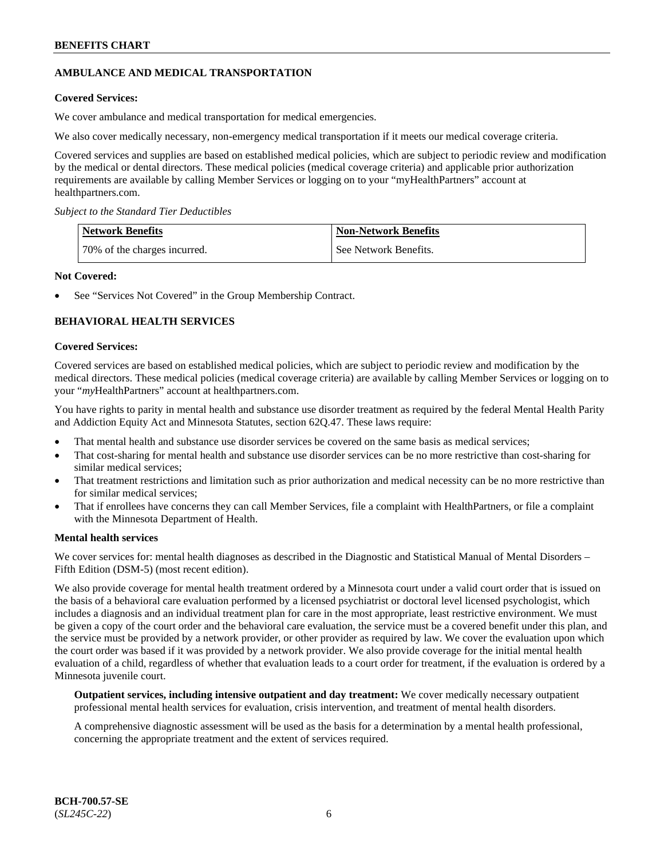# **AMBULANCE AND MEDICAL TRANSPORTATION**

### **Covered Services:**

We cover ambulance and medical transportation for medical emergencies.

We also cover medically necessary, non-emergency medical transportation if it meets our medical coverage criteria.

Covered services and supplies are based on established medical policies, which are subject to periodic review and modification by the medical or dental directors. These medical policies (medical coverage criteria) and applicable prior authorization requirements are available by calling Member Services or logging on to your "myHealthPartners" account at [healthpartners.com.](https://www.healthpartners.com/hp/index.html)

*Subject to the Standard Tier Deductibles*

| <b>Network Benefits</b>      | <b>Non-Network Benefits</b> |
|------------------------------|-----------------------------|
| 70% of the charges incurred. | See Network Benefits.       |

### **Not Covered:**

See "Services Not Covered" in the Group Membership Contract.

# **BEHAVIORAL HEALTH SERVICES**

#### **Covered Services:**

Covered services are based on established medical policies, which are subject to periodic review and modification by the medical directors. These medical policies (medical coverage criteria) are available by calling Member Services or logging on to your "*my*HealthPartners" account at [healthpartners.com.](http://www.healthpartners.com/)

You have rights to parity in mental health and substance use disorder treatment as required by the federal Mental Health Parity and Addiction Equity Act and Minnesota Statutes, section 62Q.47. These laws require:

- That mental health and substance use disorder services be covered on the same basis as medical services;
- That cost-sharing for mental health and substance use disorder services can be no more restrictive than cost-sharing for similar medical services;
- That treatment restrictions and limitation such as prior authorization and medical necessity can be no more restrictive than for similar medical services;
- That if enrollees have concerns they can call Member Services, file a complaint with HealthPartners, or file a complaint with the Minnesota Department of Health.

#### **Mental health services**

We cover services for: mental health diagnoses as described in the Diagnostic and Statistical Manual of Mental Disorders – Fifth Edition (DSM-5) (most recent edition).

We also provide coverage for mental health treatment ordered by a Minnesota court under a valid court order that is issued on the basis of a behavioral care evaluation performed by a licensed psychiatrist or doctoral level licensed psychologist, which includes a diagnosis and an individual treatment plan for care in the most appropriate, least restrictive environment. We must be given a copy of the court order and the behavioral care evaluation, the service must be a covered benefit under this plan, and the service must be provided by a network provider, or other provider as required by law. We cover the evaluation upon which the court order was based if it was provided by a network provider. We also provide coverage for the initial mental health evaluation of a child, regardless of whether that evaluation leads to a court order for treatment, if the evaluation is ordered by a Minnesota juvenile court.

**Outpatient services, including intensive outpatient and day treatment:** We cover medically necessary outpatient professional mental health services for evaluation, crisis intervention, and treatment of mental health disorders.

A comprehensive diagnostic assessment will be used as the basis for a determination by a mental health professional, concerning the appropriate treatment and the extent of services required.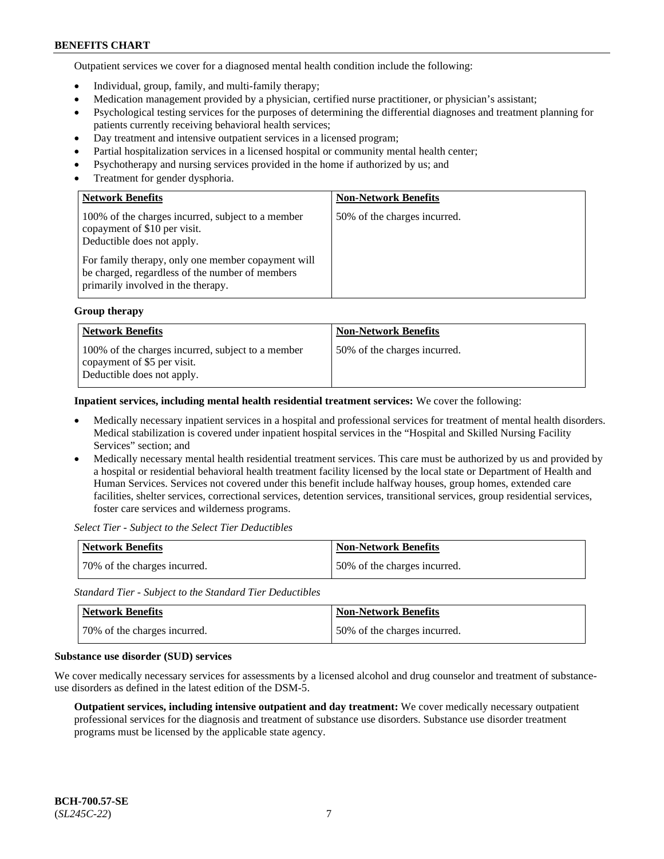Outpatient services we cover for a diagnosed mental health condition include the following:

- Individual, group, family, and multi-family therapy;
- Medication management provided by a physician, certified nurse practitioner, or physician's assistant;
- Psychological testing services for the purposes of determining the differential diagnoses and treatment planning for patients currently receiving behavioral health services;
- Day treatment and intensive outpatient services in a licensed program;
- Partial hospitalization services in a licensed hospital or community mental health center;
- Psychotherapy and nursing services provided in the home if authorized by us; and
- Treatment for gender dysphoria.

| <b>Network Benefits</b>                                                                                                                                                                                                                                        | <b>Non-Network Benefits</b>  |
|----------------------------------------------------------------------------------------------------------------------------------------------------------------------------------------------------------------------------------------------------------------|------------------------------|
| 100% of the charges incurred, subject to a member<br>copayment of \$10 per visit.<br>Deductible does not apply.<br>For family therapy, only one member copayment will<br>be charged, regardless of the number of members<br>primarily involved in the therapy. | 50% of the charges incurred. |

#### **Group therapy**

| <b>Network Benefits</b>                                                                                        | <b>Non-Network Benefits</b>  |
|----------------------------------------------------------------------------------------------------------------|------------------------------|
| 100% of the charges incurred, subject to a member<br>copayment of \$5 per visit.<br>Deductible does not apply. | 50% of the charges incurred. |

**Inpatient services, including mental health residential treatment services:** We cover the following:

- Medically necessary inpatient services in a hospital and professional services for treatment of mental health disorders. Medical stabilization is covered under inpatient hospital services in the "Hospital and Skilled Nursing Facility Services" section; and
- Medically necessary mental health residential treatment services. This care must be authorized by us and provided by a hospital or residential behavioral health treatment facility licensed by the local state or Department of Health and Human Services. Services not covered under this benefit include halfway houses, group homes, extended care facilities, shelter services, correctional services, detention services, transitional services, group residential services, foster care services and wilderness programs.

*Select Tier - Subject to the Select Tier Deductibles*

| Network Benefits             | <b>Non-Network Benefits</b>  |
|------------------------------|------------------------------|
| 70% of the charges incurred. | 50% of the charges incurred. |

*Standard Tier - Subject to the Standard Tier Deductibles*

| <b>Network Benefits</b>      | <b>Non-Network Benefits</b>  |
|------------------------------|------------------------------|
| 70% of the charges incurred. | 50% of the charges incurred. |

#### **Substance use disorder (SUD) services**

We cover medically necessary services for assessments by a licensed alcohol and drug counselor and treatment of substanceuse disorders as defined in the latest edition of the DSM-5.

**Outpatient services, including intensive outpatient and day treatment:** We cover medically necessary outpatient professional services for the diagnosis and treatment of substance use disorders. Substance use disorder treatment programs must be licensed by the applicable state agency.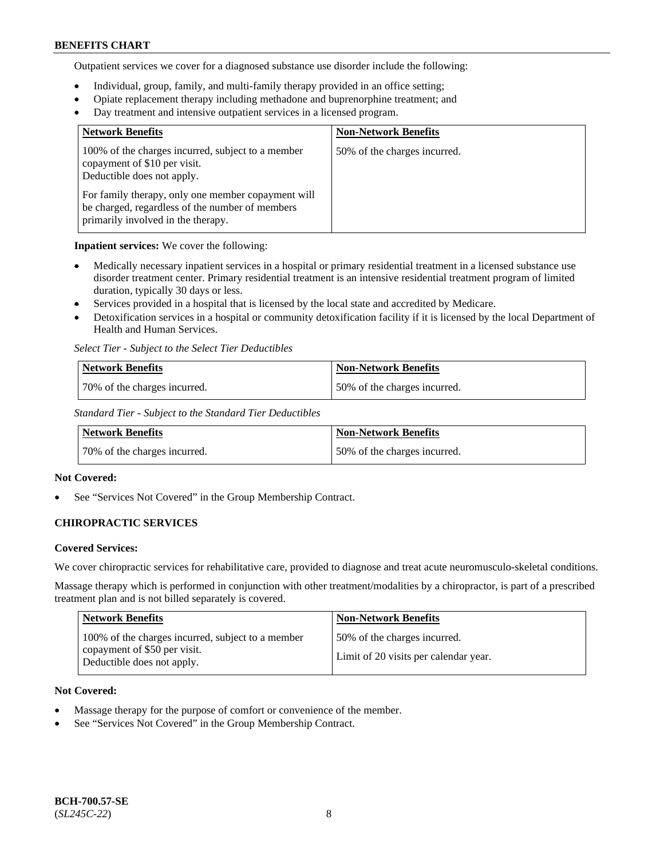Outpatient services we cover for a diagnosed substance use disorder include the following:

- Individual, group, family, and multi-family therapy provided in an office setting;
- Opiate replacement therapy including methadone and buprenorphine treatment; and
- Day treatment and intensive outpatient services in a licensed program.

| <b>Network Benefits</b>                                                                                                                     | <b>Non-Network Benefits</b>  |
|---------------------------------------------------------------------------------------------------------------------------------------------|------------------------------|
| 100% of the charges incurred, subject to a member<br>copayment of \$10 per visit.<br>Deductible does not apply.                             | 50% of the charges incurred. |
| For family therapy, only one member copayment will<br>be charged, regardless of the number of members<br>primarily involved in the therapy. |                              |

**Inpatient services:** We cover the following:

- Medically necessary inpatient services in a hospital or primary residential treatment in a licensed substance use disorder treatment center. Primary residential treatment is an intensive residential treatment program of limited duration, typically 30 days or less.
- Services provided in a hospital that is licensed by the local state and accredited by Medicare.
- Detoxification services in a hospital or community detoxification facility if it is licensed by the local Department of Health and Human Services.

*Select Tier - Subject to the Select Tier Deductibles*

| Network Benefits             | <b>Non-Network Benefits</b>  |
|------------------------------|------------------------------|
| 70% of the charges incurred. | 50% of the charges incurred. |

*Standard Tier - Subject to the Standard Tier Deductibles*

| Network Benefits             | Non-Network Benefits         |
|------------------------------|------------------------------|
| 70% of the charges incurred. | 50% of the charges incurred. |

### **Not Covered:**

See "Services Not Covered" in the Group Membership Contract.

# **CHIROPRACTIC SERVICES**

### **Covered Services:**

We cover chiropractic services for rehabilitative care, provided to diagnose and treat acute neuromusculo-skeletal conditions.

Massage therapy which is performed in conjunction with other treatment/modalities by a chiropractor, is part of a prescribed treatment plan and is not billed separately is covered.

| Network Benefits                                                                                                | <b>Non-Network Benefits</b>                                           |
|-----------------------------------------------------------------------------------------------------------------|-----------------------------------------------------------------------|
| 100% of the charges incurred, subject to a member<br>copayment of \$50 per visit.<br>Deductible does not apply. | 50% of the charges incurred.<br>Limit of 20 visits per calendar year. |

### **Not Covered:**

- Massage therapy for the purpose of comfort or convenience of the member.
- See "Services Not Covered" in the Group Membership Contract.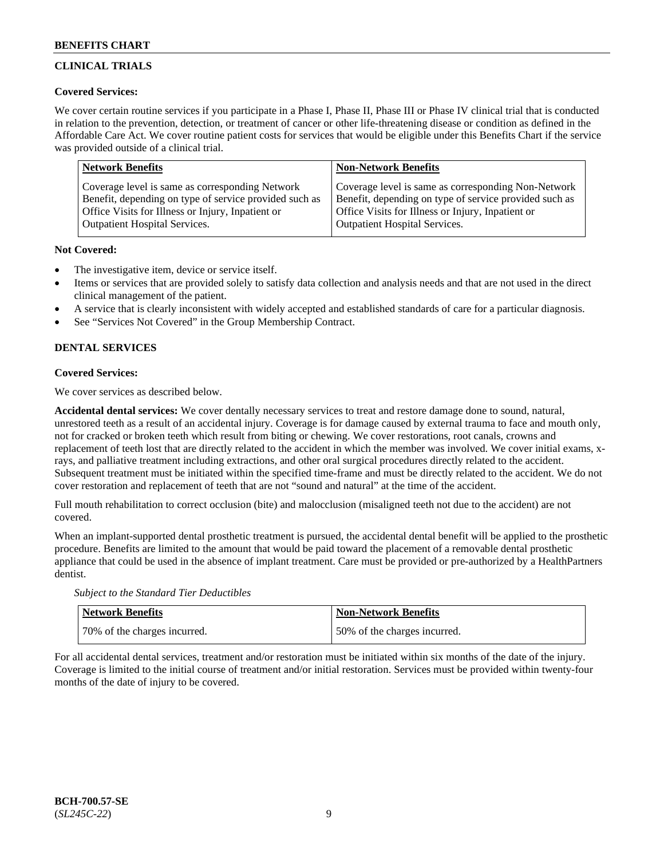# **CLINICAL TRIALS**

### **Covered Services:**

We cover certain routine services if you participate in a Phase I, Phase II, Phase III or Phase IV clinical trial that is conducted in relation to the prevention, detection, or treatment of cancer or other life-threatening disease or condition as defined in the Affordable Care Act. We cover routine patient costs for services that would be eligible under this Benefits Chart if the service was provided outside of a clinical trial.

| <b>Network Benefits</b>                                | <b>Non-Network Benefits</b>                            |
|--------------------------------------------------------|--------------------------------------------------------|
| Coverage level is same as corresponding Network        | Coverage level is same as corresponding Non-Network    |
| Benefit, depending on type of service provided such as | Benefit, depending on type of service provided such as |
| Office Visits for Illness or Injury, Inpatient or      | Office Visits for Illness or Injury, Inpatient or      |
| <b>Outpatient Hospital Services.</b>                   | <b>Outpatient Hospital Services.</b>                   |

### **Not Covered:**

- The investigative item, device or service itself.
- Items or services that are provided solely to satisfy data collection and analysis needs and that are not used in the direct clinical management of the patient.
- A service that is clearly inconsistent with widely accepted and established standards of care for a particular diagnosis.
- See "Services Not Covered" in the Group Membership Contract.

# **DENTAL SERVICES**

# **Covered Services:**

We cover services as described below.

**Accidental dental services:** We cover dentally necessary services to treat and restore damage done to sound, natural, unrestored teeth as a result of an accidental injury. Coverage is for damage caused by external trauma to face and mouth only, not for cracked or broken teeth which result from biting or chewing. We cover restorations, root canals, crowns and replacement of teeth lost that are directly related to the accident in which the member was involved. We cover initial exams, xrays, and palliative treatment including extractions, and other oral surgical procedures directly related to the accident. Subsequent treatment must be initiated within the specified time-frame and must be directly related to the accident. We do not cover restoration and replacement of teeth that are not "sound and natural" at the time of the accident.

Full mouth rehabilitation to correct occlusion (bite) and malocclusion (misaligned teeth not due to the accident) are not covered.

When an implant-supported dental prosthetic treatment is pursued, the accidental dental benefit will be applied to the prosthetic procedure. Benefits are limited to the amount that would be paid toward the placement of a removable dental prosthetic appliance that could be used in the absence of implant treatment. Care must be provided or pre-authorized by a HealthPartners dentist.

*Subject to the Standard Tier Deductibles*

| <b>Network Benefits</b>      | Non-Network Benefits         |
|------------------------------|------------------------------|
| 70% of the charges incurred. | 50% of the charges incurred. |

For all accidental dental services, treatment and/or restoration must be initiated within six months of the date of the injury. Coverage is limited to the initial course of treatment and/or initial restoration. Services must be provided within twenty-four months of the date of injury to be covered.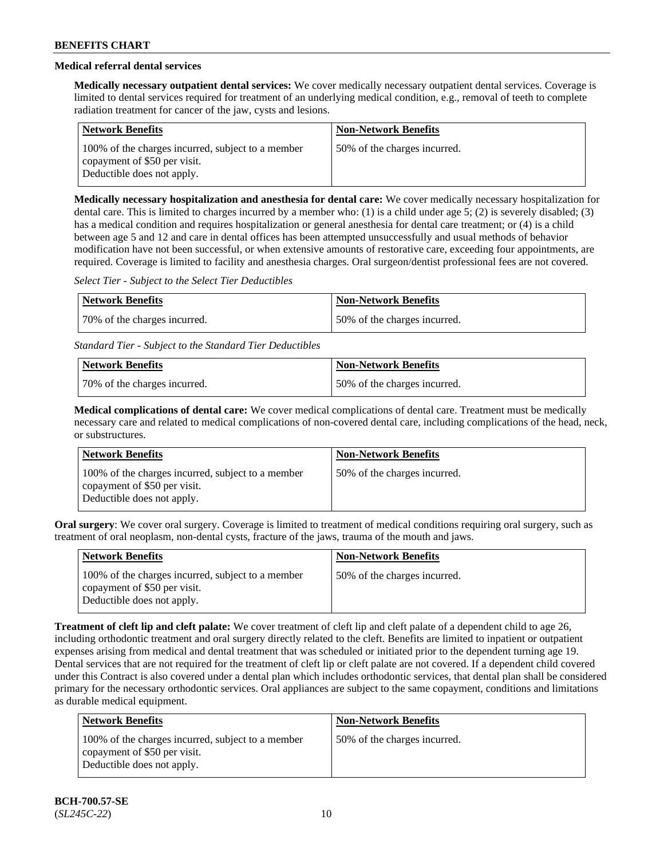# **Medical referral dental services**

**Medically necessary outpatient dental services:** We cover medically necessary outpatient dental services. Coverage is limited to dental services required for treatment of an underlying medical condition, e.g., removal of teeth to complete radiation treatment for cancer of the jaw, cysts and lesions.

| <b>Network Benefits</b>                                                                                         | <b>Non-Network Benefits</b>  |
|-----------------------------------------------------------------------------------------------------------------|------------------------------|
| 100% of the charges incurred, subject to a member<br>copayment of \$50 per visit.<br>Deductible does not apply. | 50% of the charges incurred. |

**Medically necessary hospitalization and anesthesia for dental care:** We cover medically necessary hospitalization for dental care. This is limited to charges incurred by a member who: (1) is a child under age 5; (2) is severely disabled; (3) has a medical condition and requires hospitalization or general anesthesia for dental care treatment; or (4) is a child between age 5 and 12 and care in dental offices has been attempted unsuccessfully and usual methods of behavior modification have not been successful, or when extensive amounts of restorative care, exceeding four appointments, are required. Coverage is limited to facility and anesthesia charges. Oral surgeon/dentist professional fees are not covered.

*Select Tier - Subject to the Select Tier Deductibles*

| Network Benefits             | <b>Non-Network Benefits</b>  |
|------------------------------|------------------------------|
| 70% of the charges incurred. | 50% of the charges incurred. |

*Standard Tier - Subject to the Standard Tier Deductibles*

| Network Benefits             | <b>Non-Network Benefits</b>  |
|------------------------------|------------------------------|
| 70% of the charges incurred. | 50% of the charges incurred. |

**Medical complications of dental care:** We cover medical complications of dental care. Treatment must be medically necessary care and related to medical complications of non-covered dental care, including complications of the head, neck, or substructures.

| <b>Network Benefits</b>                                                                                         | <b>Non-Network Benefits</b>  |
|-----------------------------------------------------------------------------------------------------------------|------------------------------|
| 100% of the charges incurred, subject to a member<br>copayment of \$50 per visit.<br>Deductible does not apply. | 50% of the charges incurred. |

**Oral surgery**: We cover oral surgery. Coverage is limited to treatment of medical conditions requiring oral surgery, such as treatment of oral neoplasm, non-dental cysts, fracture of the jaws, trauma of the mouth and jaws.

| <b>Network Benefits</b>                                                                                         | <b>Non-Network Benefits</b>  |
|-----------------------------------------------------------------------------------------------------------------|------------------------------|
| 100% of the charges incurred, subject to a member<br>copayment of \$50 per visit.<br>Deductible does not apply. | 50% of the charges incurred. |

**Treatment of cleft lip and cleft palate:** We cover treatment of cleft lip and cleft palate of a dependent child to age 26, including orthodontic treatment and oral surgery directly related to the cleft. Benefits are limited to inpatient or outpatient expenses arising from medical and dental treatment that was scheduled or initiated prior to the dependent turning age 19. Dental services that are not required for the treatment of cleft lip or cleft palate are not covered. If a dependent child covered under this Contract is also covered under a dental plan which includes orthodontic services, that dental plan shall be considered primary for the necessary orthodontic services. Oral appliances are subject to the same copayment, conditions and limitations as durable medical equipment.

| Network Benefits                                                                                                | <b>Non-Network Benefits</b>  |
|-----------------------------------------------------------------------------------------------------------------|------------------------------|
| 100% of the charges incurred, subject to a member<br>copayment of \$50 per visit.<br>Deductible does not apply. | 50% of the charges incurred. |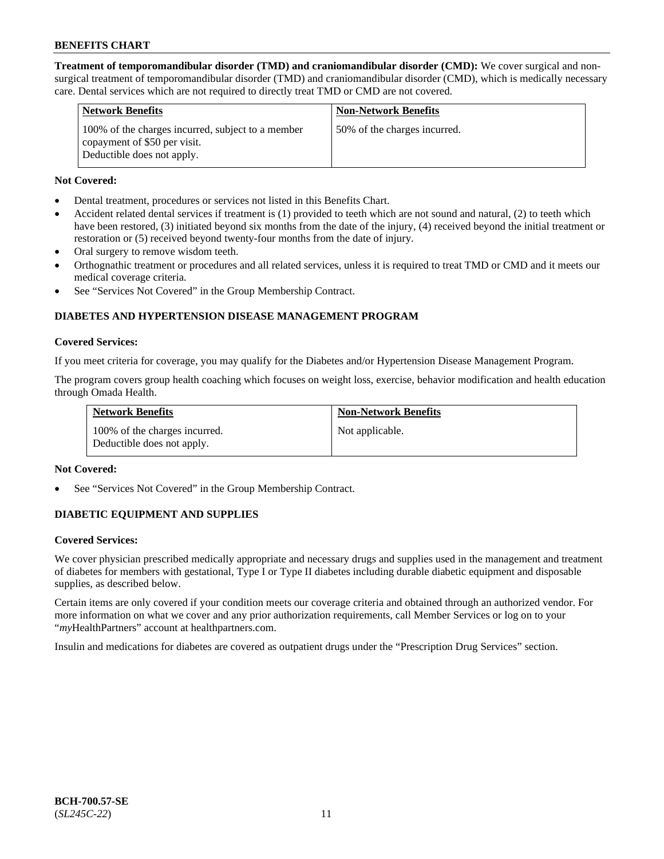**Treatment of temporomandibular disorder (TMD) and craniomandibular disorder (CMD):** We cover surgical and nonsurgical treatment of temporomandibular disorder (TMD) and craniomandibular disorder (CMD), which is medically necessary care. Dental services which are not required to directly treat TMD or CMD are not covered.

| <b>Network Benefits</b>                                                                                         | <b>Non-Network Benefits</b>  |
|-----------------------------------------------------------------------------------------------------------------|------------------------------|
| 100% of the charges incurred, subject to a member<br>copayment of \$50 per visit.<br>Deductible does not apply. | 50% of the charges incurred. |

### **Not Covered:**

- Dental treatment, procedures or services not listed in this Benefits Chart.
- Accident related dental services if treatment is (1) provided to teeth which are not sound and natural, (2) to teeth which have been restored, (3) initiated beyond six months from the date of the injury, (4) received beyond the initial treatment or restoration or (5) received beyond twenty-four months from the date of injury.
- Oral surgery to remove wisdom teeth.
- Orthognathic treatment or procedures and all related services, unless it is required to treat TMD or CMD and it meets our medical coverage criteria.
- See "Services Not Covered" in the Group Membership Contract.

# **DIABETES AND HYPERTENSION DISEASE MANAGEMENT PROGRAM**

#### **Covered Services:**

If you meet criteria for coverage, you may qualify for the Diabetes and/or Hypertension Disease Management Program.

The program covers group health coaching which focuses on weight loss, exercise, behavior modification and health education through Omada Health.

| <b>Network Benefits</b>                                     | <b>Non-Network Benefits</b> |
|-------------------------------------------------------------|-----------------------------|
| 100% of the charges incurred.<br>Deductible does not apply. | Not applicable.             |

### **Not Covered:**

See "Services Not Covered" in the Group Membership Contract.

### **DIABETIC EQUIPMENT AND SUPPLIES**

### **Covered Services:**

We cover physician prescribed medically appropriate and necessary drugs and supplies used in the management and treatment of diabetes for members with gestational, Type I or Type II diabetes including durable diabetic equipment and disposable supplies, as described below.

Certain items are only covered if your condition meets our coverage criteria and obtained through an authorized vendor. For more information on what we cover and any prior authorization requirements, call Member Services or log on to your "*my*HealthPartners" account at [healthpartners.com.](http://www.healthpartners.com/)

Insulin and medications for diabetes are covered as outpatient drugs under the "Prescription Drug Services" section.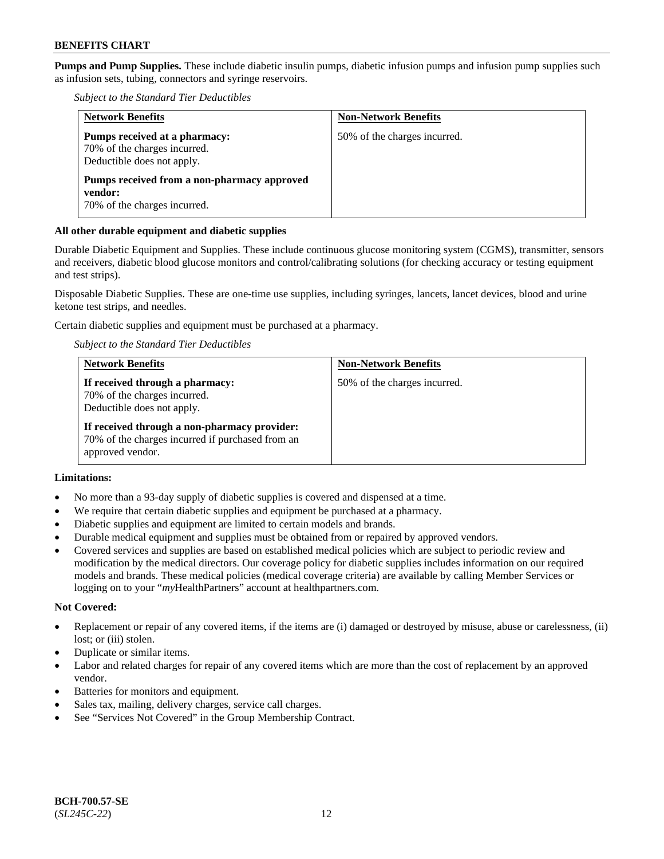**Pumps and Pump Supplies.** These include diabetic insulin pumps, diabetic infusion pumps and infusion pump supplies such as infusion sets, tubing, connectors and syringe reservoirs.

*Subject to the Standard Tier Deductibles*

| <b>Network Benefits</b>                                                                     | <b>Non-Network Benefits</b>  |
|---------------------------------------------------------------------------------------------|------------------------------|
| Pumps received at a pharmacy:<br>70% of the charges incurred.<br>Deductible does not apply. | 50% of the charges incurred. |
| Pumps received from a non-pharmacy approved<br>vendor:<br>70% of the charges incurred.      |                              |

### **All other durable equipment and diabetic supplies**

Durable Diabetic Equipment and Supplies. These include continuous glucose monitoring system (CGMS), transmitter, sensors and receivers, diabetic blood glucose monitors and control/calibrating solutions (for checking accuracy or testing equipment and test strips).

Disposable Diabetic Supplies. These are one-time use supplies, including syringes, lancets, lancet devices, blood and urine ketone test strips, and needles.

Certain diabetic supplies and equipment must be purchased at a pharmacy.

*Subject to the Standard Tier Deductibles*

| <b>Network Benefits</b>                                                                                              | <b>Non-Network Benefits</b>  |
|----------------------------------------------------------------------------------------------------------------------|------------------------------|
| If received through a pharmacy:<br>70% of the charges incurred.<br>Deductible does not apply.                        | 50% of the charges incurred. |
| If received through a non-pharmacy provider:<br>70% of the charges incurred if purchased from an<br>approved vendor. |                              |

### **Limitations:**

- No more than a 93-day supply of diabetic supplies is covered and dispensed at a time.
- We require that certain diabetic supplies and equipment be purchased at a pharmacy.
- Diabetic supplies and equipment are limited to certain models and brands.
- Durable medical equipment and supplies must be obtained from or repaired by approved vendors.
- Covered services and supplies are based on established medical policies which are subject to periodic review and modification by the medical directors. Our coverage policy for diabetic supplies includes information on our required models and brands. These medical policies (medical coverage criteria) are available by calling Member Services or logging on to your "*my*HealthPartners" account at [healthpartners.com.](http://www.healthpartners.com/)

#### **Not Covered:**

- Replacement or repair of any covered items, if the items are (i) damaged or destroyed by misuse, abuse or carelessness, (ii) lost; or (iii) stolen.
- Duplicate or similar items.
- Labor and related charges for repair of any covered items which are more than the cost of replacement by an approved vendor.
- Batteries for monitors and equipment.
- Sales tax, mailing, delivery charges, service call charges.
- See "Services Not Covered" in the Group Membership Contract.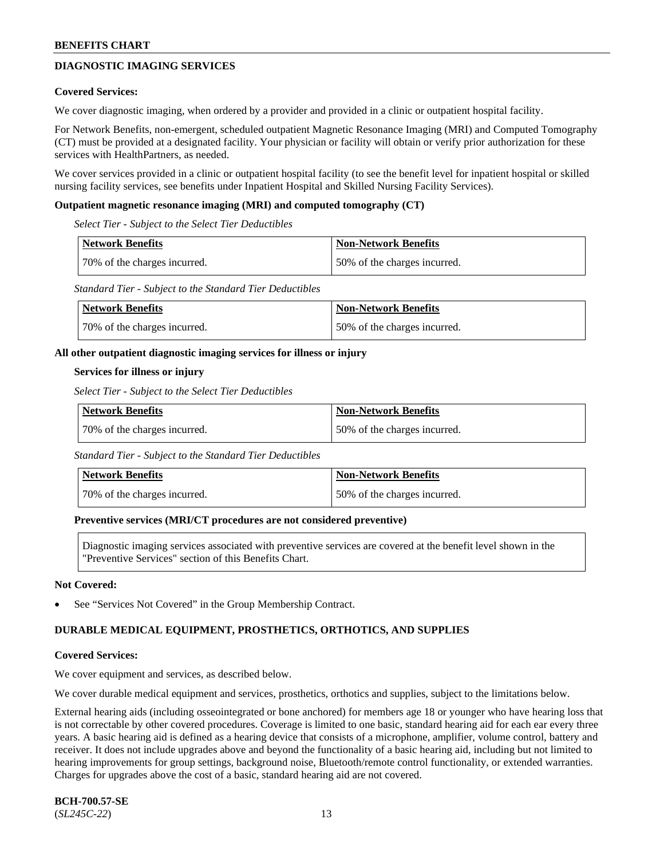# **DIAGNOSTIC IMAGING SERVICES**

#### **Covered Services:**

We cover diagnostic imaging, when ordered by a provider and provided in a clinic or outpatient hospital facility.

For Network Benefits, non-emergent, scheduled outpatient Magnetic Resonance Imaging (MRI) and Computed Tomography (CT) must be provided at a designated facility. Your physician or facility will obtain or verify prior authorization for these services with HealthPartners, as needed.

We cover services provided in a clinic or outpatient hospital facility (to see the benefit level for inpatient hospital or skilled nursing facility services, see benefits under Inpatient Hospital and Skilled Nursing Facility Services).

#### **Outpatient magnetic resonance imaging (MRI) and computed tomography (CT)**

*Select Tier - Subject to the Select Tier Deductibles*

| <b>Network Benefits</b>      | <b>Non-Network Benefits</b>  |
|------------------------------|------------------------------|
| 70% of the charges incurred. | 50% of the charges incurred. |

*Standard Tier - Subject to the Standard Tier Deductibles*

| <b>Network Benefits</b>      | <b>Non-Network Benefits</b>  |
|------------------------------|------------------------------|
| 70% of the charges incurred. | 50% of the charges incurred. |

#### **All other outpatient diagnostic imaging services for illness or injury**

#### **Services for illness or injury**

*Select Tier - Subject to the Select Tier Deductibles*

| Network Benefits             | Non-Network Benefits         |
|------------------------------|------------------------------|
| 70% of the charges incurred. | 50% of the charges incurred. |

*Standard Tier - Subject to the Standard Tier Deductibles*

| Network Benefits             | Non-Network Benefits         |
|------------------------------|------------------------------|
| 70% of the charges incurred. | 50% of the charges incurred. |

#### **Preventive services (MRI/CT procedures are not considered preventive)**

Diagnostic imaging services associated with preventive services are covered at the benefit level shown in the "Preventive Services" section of this Benefits Chart.

#### **Not Covered:**

See "Services Not Covered" in the Group Membership Contract.

### **DURABLE MEDICAL EQUIPMENT, PROSTHETICS, ORTHOTICS, AND SUPPLIES**

#### **Covered Services:**

We cover equipment and services, as described below.

We cover durable medical equipment and services, prosthetics, orthotics and supplies, subject to the limitations below.

External hearing aids (including osseointegrated or bone anchored) for members age 18 or younger who have hearing loss that is not correctable by other covered procedures. Coverage is limited to one basic, standard hearing aid for each ear every three years. A basic hearing aid is defined as a hearing device that consists of a microphone, amplifier, volume control, battery and receiver. It does not include upgrades above and beyond the functionality of a basic hearing aid, including but not limited to hearing improvements for group settings, background noise, Bluetooth/remote control functionality, or extended warranties. Charges for upgrades above the cost of a basic, standard hearing aid are not covered.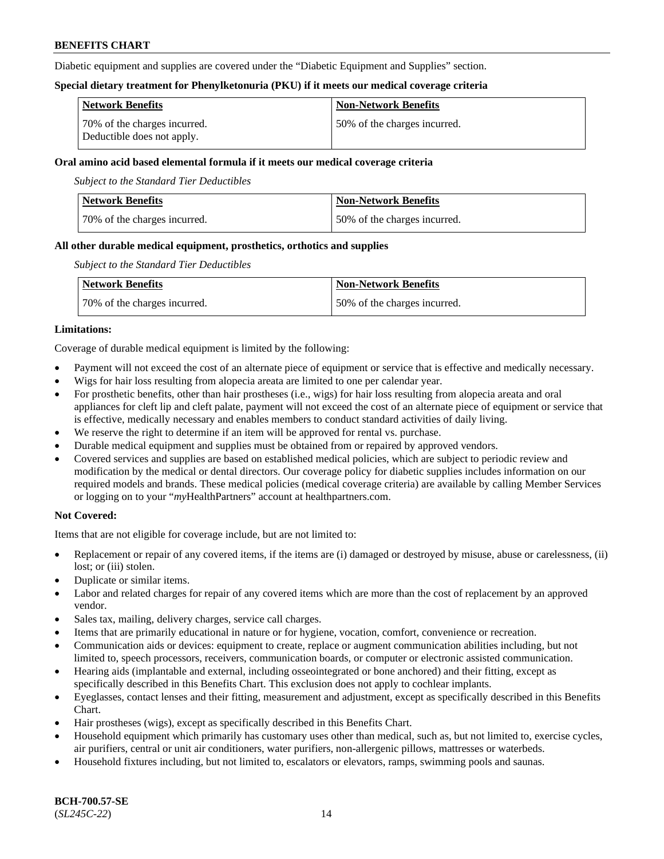Diabetic equipment and supplies are covered under the "Diabetic Equipment and Supplies" section.

### **Special dietary treatment for Phenylketonuria (PKU) if it meets our medical coverage criteria**

| <b>Network Benefits</b>                                    | <b>Non-Network Benefits</b>   |
|------------------------------------------------------------|-------------------------------|
| 70% of the charges incurred.<br>Deductible does not apply. | 150% of the charges incurred. |

### **Oral amino acid based elemental formula if it meets our medical coverage criteria**

*Subject to the Standard Tier Deductibles*

| <b>Network Benefits</b>      | <b>Non-Network Benefits</b>  |
|------------------------------|------------------------------|
| 70% of the charges incurred. | 50% of the charges incurred. |

### **All other durable medical equipment, prosthetics, orthotics and supplies**

*Subject to the Standard Tier Deductibles*

| <b>Network Benefits</b>      | Non-Network Benefits         |
|------------------------------|------------------------------|
| 70% of the charges incurred. | 50% of the charges incurred. |

### **Limitations:**

Coverage of durable medical equipment is limited by the following:

- Payment will not exceed the cost of an alternate piece of equipment or service that is effective and medically necessary.
- Wigs for hair loss resulting from alopecia areata are limited to one per calendar year.
- For prosthetic benefits, other than hair prostheses (i.e., wigs) for hair loss resulting from alopecia areata and oral appliances for cleft lip and cleft palate, payment will not exceed the cost of an alternate piece of equipment or service that is effective, medically necessary and enables members to conduct standard activities of daily living.
- We reserve the right to determine if an item will be approved for rental vs. purchase.
- Durable medical equipment and supplies must be obtained from or repaired by approved vendors.
- Covered services and supplies are based on established medical policies, which are subject to periodic review and modification by the medical or dental directors. Our coverage policy for diabetic supplies includes information on our required models and brands. These medical policies (medical coverage criteria) are available by calling Member Services or logging on to your "*my*HealthPartners" account a[t healthpartners.com.](https://www.healthpartners.com/hp/index.html)

### **Not Covered:**

Items that are not eligible for coverage include, but are not limited to:

- Replacement or repair of any covered items, if the items are (i) damaged or destroyed by misuse, abuse or carelessness, (ii) lost; or (iii) stolen.
- Duplicate or similar items.
- Labor and related charges for repair of any covered items which are more than the cost of replacement by an approved vendor.
- Sales tax, mailing, delivery charges, service call charges.
- Items that are primarily educational in nature or for hygiene, vocation, comfort, convenience or recreation.
- Communication aids or devices: equipment to create, replace or augment communication abilities including, but not limited to, speech processors, receivers, communication boards, or computer or electronic assisted communication.
- Hearing aids (implantable and external, including osseointegrated or bone anchored) and their fitting, except as specifically described in this Benefits Chart. This exclusion does not apply to cochlear implants.
- Eyeglasses, contact lenses and their fitting, measurement and adjustment, except as specifically described in this Benefits Chart.
- Hair prostheses (wigs), except as specifically described in this Benefits Chart.
- Household equipment which primarily has customary uses other than medical, such as, but not limited to, exercise cycles, air purifiers, central or unit air conditioners, water purifiers, non-allergenic pillows, mattresses or waterbeds.
- Household fixtures including, but not limited to, escalators or elevators, ramps, swimming pools and saunas.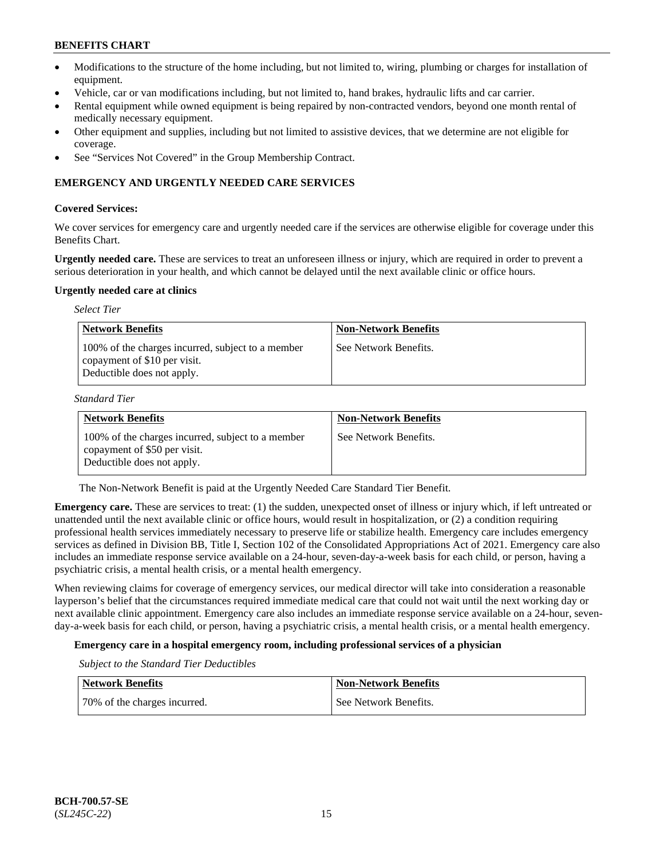- Modifications to the structure of the home including, but not limited to, wiring, plumbing or charges for installation of equipment.
- Vehicle, car or van modifications including, but not limited to, hand brakes, hydraulic lifts and car carrier.
- Rental equipment while owned equipment is being repaired by non-contracted vendors, beyond one month rental of medically necessary equipment.
- Other equipment and supplies, including but not limited to assistive devices, that we determine are not eligible for coverage.
- See "Services Not Covered" in the Group Membership Contract.

### **EMERGENCY AND URGENTLY NEEDED CARE SERVICES**

### **Covered Services:**

We cover services for emergency care and urgently needed care if the services are otherwise eligible for coverage under this Benefits Chart.

**Urgently needed care.** These are services to treat an unforeseen illness or injury, which are required in order to prevent a serious deterioration in your health, and which cannot be delayed until the next available clinic or office hours.

#### **Urgently needed care at clinics**

| <b>Select Tier</b>                                                                                              |                             |
|-----------------------------------------------------------------------------------------------------------------|-----------------------------|
| <b>Network Benefits</b>                                                                                         | <b>Non-Network Benefits</b> |
| 100% of the charges incurred, subject to a member<br>copayment of \$10 per visit.<br>Deductible does not apply. | See Network Benefits.       |

*Standard Tier*

| <b>Network Benefits</b>                                                                                         | <b>Non-Network Benefits</b> |
|-----------------------------------------------------------------------------------------------------------------|-----------------------------|
| 100% of the charges incurred, subject to a member<br>copayment of \$50 per visit.<br>Deductible does not apply. | See Network Benefits.       |

The Non-Network Benefit is paid at the Urgently Needed Care Standard Tier Benefit.

**Emergency care.** These are services to treat: (1) the sudden, unexpected onset of illness or injury which, if left untreated or unattended until the next available clinic or office hours, would result in hospitalization, or (2) a condition requiring professional health services immediately necessary to preserve life or stabilize health. Emergency care includes emergency services as defined in Division BB, Title I, Section 102 of the Consolidated Appropriations Act of 2021. Emergency care also includes an immediate response service available on a 24-hour, seven-day-a-week basis for each child, or person, having a psychiatric crisis, a mental health crisis, or a mental health emergency.

When reviewing claims for coverage of emergency services, our medical director will take into consideration a reasonable layperson's belief that the circumstances required immediate medical care that could not wait until the next working day or next available clinic appointment. Emergency care also includes an immediate response service available on a 24-hour, sevenday-a-week basis for each child, or person, having a psychiatric crisis, a mental health crisis, or a mental health emergency.

## **Emergency care in a hospital emergency room, including professional services of a physician**

*Subject to the Standard Tier Deductibles*

| <b>Network Benefits</b>      | <b>Non-Network Benefits</b> |
|------------------------------|-----------------------------|
| 70% of the charges incurred. | See Network Benefits.       |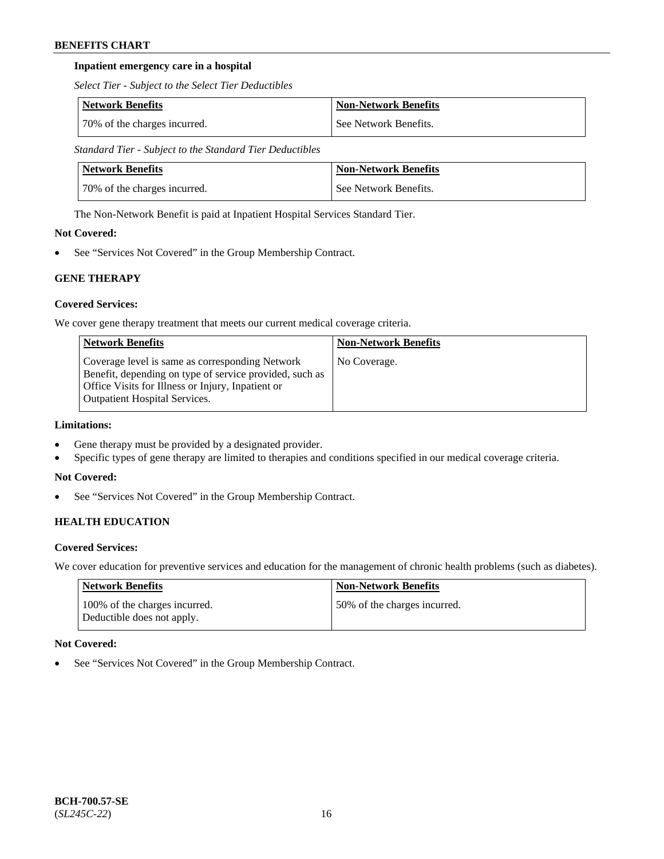### **Inpatient emergency care in a hospital**

*Select Tier - Subject to the Select Tier Deductibles*

| Network Benefits             | Non-Network Benefits  |
|------------------------------|-----------------------|
| 70% of the charges incurred. | See Network Benefits. |

*Standard Tier - Subject to the Standard Tier Deductibles*

| Network Benefits             | <b>Non-Network Benefits</b> |
|------------------------------|-----------------------------|
| 70% of the charges incurred. | See Network Benefits.       |

The Non-Network Benefit is paid at Inpatient Hospital Services Standard Tier.

# **Not Covered:**

See "Services Not Covered" in the Group Membership Contract.

# **GENE THERAPY**

# **Covered Services:**

We cover gene therapy treatment that meets our current medical coverage criteria.

| <b>Network Benefits</b>                                                                                                                                                                                 | <b>Non-Network Benefits</b> |
|---------------------------------------------------------------------------------------------------------------------------------------------------------------------------------------------------------|-----------------------------|
| Coverage level is same as corresponding Network<br>Benefit, depending on type of service provided, such as<br>Office Visits for Illness or Injury, Inpatient or<br><b>Outpatient Hospital Services.</b> | No Coverage.                |

# **Limitations:**

- Gene therapy must be provided by a designated provider.
- Specific types of gene therapy are limited to therapies and conditions specified in our medical coverage criteria.

### **Not Covered:**

• See "Services Not Covered" in the Group Membership Contract.

# **HEALTH EDUCATION**

### **Covered Services:**

We cover education for preventive services and education for the management of chronic health problems (such as diabetes).

| <b>Network Benefits</b>                                     | <b>Non-Network Benefits</b>  |
|-------------------------------------------------------------|------------------------------|
| 100% of the charges incurred.<br>Deductible does not apply. | 50% of the charges incurred. |

### **Not Covered:**

See "Services Not Covered" in the Group Membership Contract.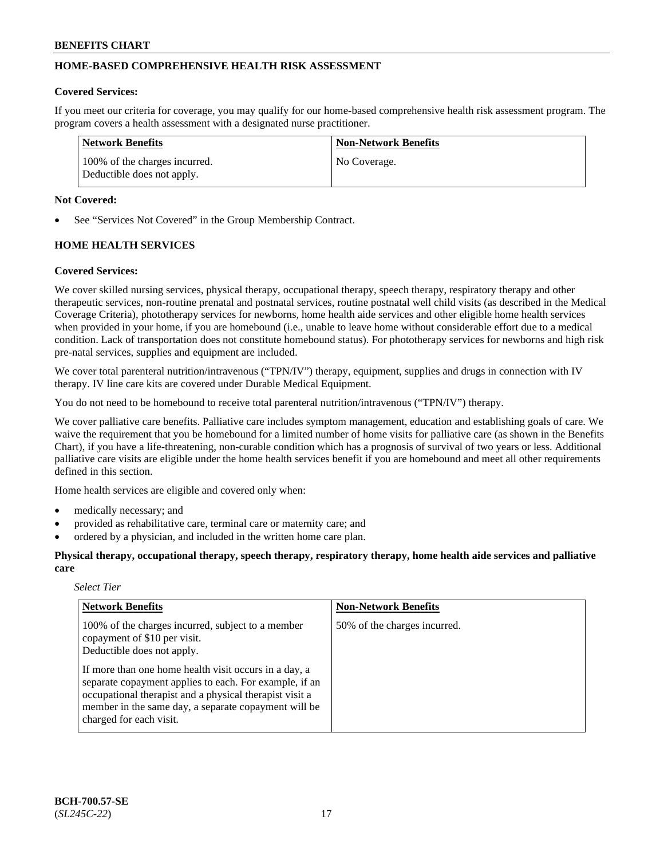# **HOME-BASED COMPREHENSIVE HEALTH RISK ASSESSMENT**

#### **Covered Services:**

If you meet our criteria for coverage, you may qualify for our home-based comprehensive health risk assessment program. The program covers a health assessment with a designated nurse practitioner.

| Network Benefits                                            | <b>Non-Network Benefits</b> |
|-------------------------------------------------------------|-----------------------------|
| 100% of the charges incurred.<br>Deductible does not apply. | No Coverage.                |

### **Not Covered:**

See "Services Not Covered" in the Group Membership Contract.

# **HOME HEALTH SERVICES**

#### **Covered Services:**

We cover skilled nursing services, physical therapy, occupational therapy, speech therapy, respiratory therapy and other therapeutic services, non-routine prenatal and postnatal services, routine postnatal well child visits (as described in the Medical Coverage Criteria), phototherapy services for newborns, home health aide services and other eligible home health services when provided in your home, if you are homebound (i.e., unable to leave home without considerable effort due to a medical condition. Lack of transportation does not constitute homebound status). For phototherapy services for newborns and high risk pre-natal services, supplies and equipment are included.

We cover total parenteral nutrition/intravenous ("TPN/IV") therapy, equipment, supplies and drugs in connection with IV therapy. IV line care kits are covered under Durable Medical Equipment.

You do not need to be homebound to receive total parenteral nutrition/intravenous ("TPN/IV") therapy.

We cover palliative care benefits. Palliative care includes symptom management, education and establishing goals of care. We waive the requirement that you be homebound for a limited number of home visits for palliative care (as shown in the Benefits Chart), if you have a life-threatening, non-curable condition which has a prognosis of survival of two years or less. Additional palliative care visits are eligible under the home health services benefit if you are homebound and meet all other requirements defined in this section.

Home health services are eligible and covered only when:

- medically necessary; and
- provided as rehabilitative care, terminal care or maternity care; and
- ordered by a physician, and included in the written home care plan.

**Physical therapy, occupational therapy, speech therapy, respiratory therapy, home health aide services and palliative care**

#### *Select Tier*

| <b>Network Benefits</b>                                                                                                                                                                                                                                       | <b>Non-Network Benefits</b>  |
|---------------------------------------------------------------------------------------------------------------------------------------------------------------------------------------------------------------------------------------------------------------|------------------------------|
| 100% of the charges incurred, subject to a member<br>copayment of \$10 per visit.<br>Deductible does not apply.                                                                                                                                               | 50% of the charges incurred. |
| If more than one home health visit occurs in a day, a<br>separate copayment applies to each. For example, if an<br>occupational therapist and a physical therapist visit a<br>member in the same day, a separate copayment will be<br>charged for each visit. |                              |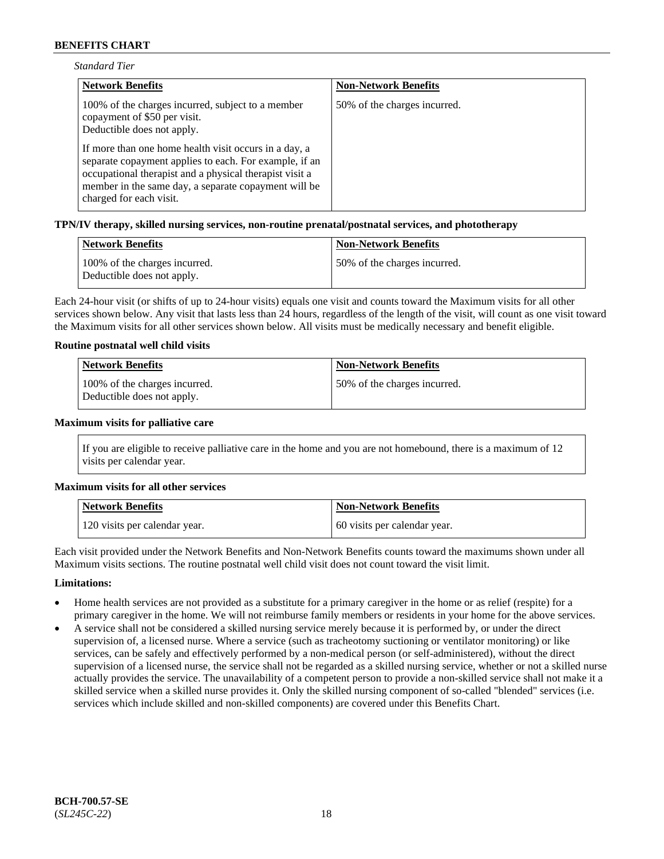| <b>Standard Tier</b> |  |
|----------------------|--|
|----------------------|--|

| <b>Network Benefits</b>                                                                                                                                                                                                                                       | <b>Non-Network Benefits</b>  |
|---------------------------------------------------------------------------------------------------------------------------------------------------------------------------------------------------------------------------------------------------------------|------------------------------|
| 100% of the charges incurred, subject to a member<br>copayment of \$50 per visit.<br>Deductible does not apply.                                                                                                                                               | 50% of the charges incurred. |
| If more than one home health visit occurs in a day, a<br>separate copayment applies to each. For example, if an<br>occupational therapist and a physical therapist visit a<br>member in the same day, a separate copayment will be<br>charged for each visit. |                              |

#### **TPN/IV therapy, skilled nursing services, non-routine prenatal/postnatal services, and phototherapy**

| Network Benefits                                            | <b>Non-Network Benefits</b>  |
|-------------------------------------------------------------|------------------------------|
| 100% of the charges incurred.<br>Deductible does not apply. | 50% of the charges incurred. |

Each 24-hour visit (or shifts of up to 24-hour visits) equals one visit and counts toward the Maximum visits for all other services shown below. Any visit that lasts less than 24 hours, regardless of the length of the visit, will count as one visit toward the Maximum visits for all other services shown below. All visits must be medically necessary and benefit eligible.

#### **Routine postnatal well child visits**

| Network Benefits                                            | <b>Non-Network Benefits</b>  |
|-------------------------------------------------------------|------------------------------|
| 100% of the charges incurred.<br>Deductible does not apply. | 50% of the charges incurred. |

#### **Maximum visits for palliative care**

If you are eligible to receive palliative care in the home and you are not homebound, there is a maximum of 12 visits per calendar year.

#### **Maximum visits for all other services**

| <b>Network Benefits</b>       | <b>Non-Network Benefits</b>  |
|-------------------------------|------------------------------|
| 120 visits per calendar year. | 60 visits per calendar year. |

Each visit provided under the Network Benefits and Non-Network Benefits counts toward the maximums shown under all Maximum visits sections. The routine postnatal well child visit does not count toward the visit limit.

#### **Limitations:**

- Home health services are not provided as a substitute for a primary caregiver in the home or as relief (respite) for a primary caregiver in the home. We will not reimburse family members or residents in your home for the above services.
- A service shall not be considered a skilled nursing service merely because it is performed by, or under the direct supervision of, a licensed nurse. Where a service (such as tracheotomy suctioning or ventilator monitoring) or like services, can be safely and effectively performed by a non-medical person (or self-administered), without the direct supervision of a licensed nurse, the service shall not be regarded as a skilled nursing service, whether or not a skilled nurse actually provides the service. The unavailability of a competent person to provide a non-skilled service shall not make it a skilled service when a skilled nurse provides it. Only the skilled nursing component of so-called "blended" services (i.e. services which include skilled and non-skilled components) are covered under this Benefits Chart.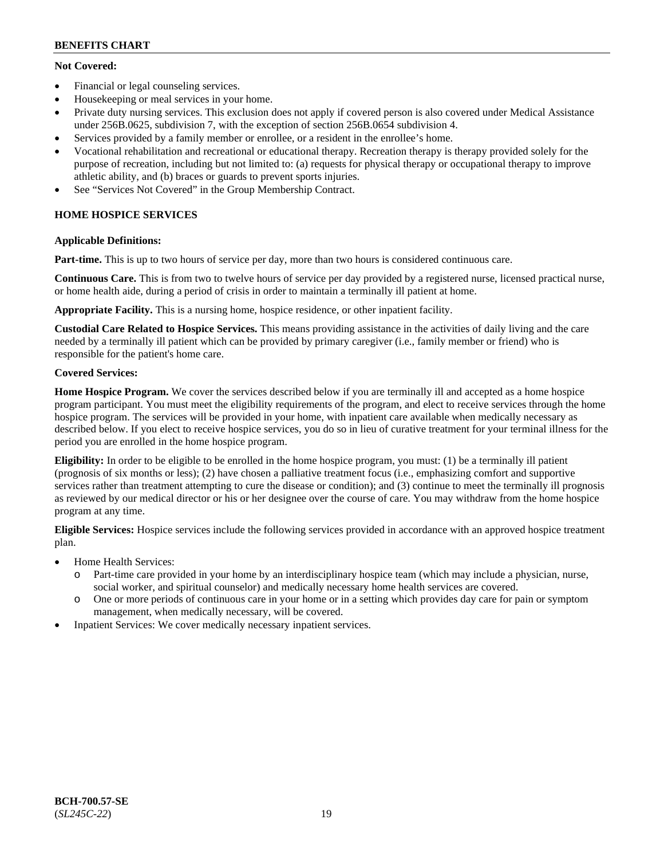# **Not Covered:**

- Financial or legal counseling services.
- Housekeeping or meal services in your home.
- Private duty nursing services. This exclusion does not apply if covered person is also covered under Medical Assistance under 256B.0625, subdivision 7, with the exception of section 256B.0654 subdivision 4.
- Services provided by a family member or enrollee, or a resident in the enrollee's home.
- Vocational rehabilitation and recreational or educational therapy. Recreation therapy is therapy provided solely for the purpose of recreation, including but not limited to: (a) requests for physical therapy or occupational therapy to improve athletic ability, and (b) braces or guards to prevent sports injuries.
- See "Services Not Covered" in the Group Membership Contract.

# **HOME HOSPICE SERVICES**

### **Applicable Definitions:**

**Part-time.** This is up to two hours of service per day, more than two hours is considered continuous care.

**Continuous Care.** This is from two to twelve hours of service per day provided by a registered nurse, licensed practical nurse, or home health aide, during a period of crisis in order to maintain a terminally ill patient at home.

**Appropriate Facility.** This is a nursing home, hospice residence, or other inpatient facility.

**Custodial Care Related to Hospice Services.** This means providing assistance in the activities of daily living and the care needed by a terminally ill patient which can be provided by primary caregiver (i.e., family member or friend) who is responsible for the patient's home care.

# **Covered Services:**

**Home Hospice Program.** We cover the services described below if you are terminally ill and accepted as a home hospice program participant. You must meet the eligibility requirements of the program, and elect to receive services through the home hospice program. The services will be provided in your home, with inpatient care available when medically necessary as described below. If you elect to receive hospice services, you do so in lieu of curative treatment for your terminal illness for the period you are enrolled in the home hospice program.

**Eligibility:** In order to be eligible to be enrolled in the home hospice program, you must: (1) be a terminally ill patient (prognosis of six months or less); (2) have chosen a palliative treatment focus (i.e., emphasizing comfort and supportive services rather than treatment attempting to cure the disease or condition); and (3) continue to meet the terminally ill prognosis as reviewed by our medical director or his or her designee over the course of care. You may withdraw from the home hospice program at any time.

**Eligible Services:** Hospice services include the following services provided in accordance with an approved hospice treatment plan.

- Home Health Services:
	- o Part-time care provided in your home by an interdisciplinary hospice team (which may include a physician, nurse, social worker, and spiritual counselor) and medically necessary home health services are covered.
	- o One or more periods of continuous care in your home or in a setting which provides day care for pain or symptom management, when medically necessary, will be covered.
- Inpatient Services: We cover medically necessary inpatient services.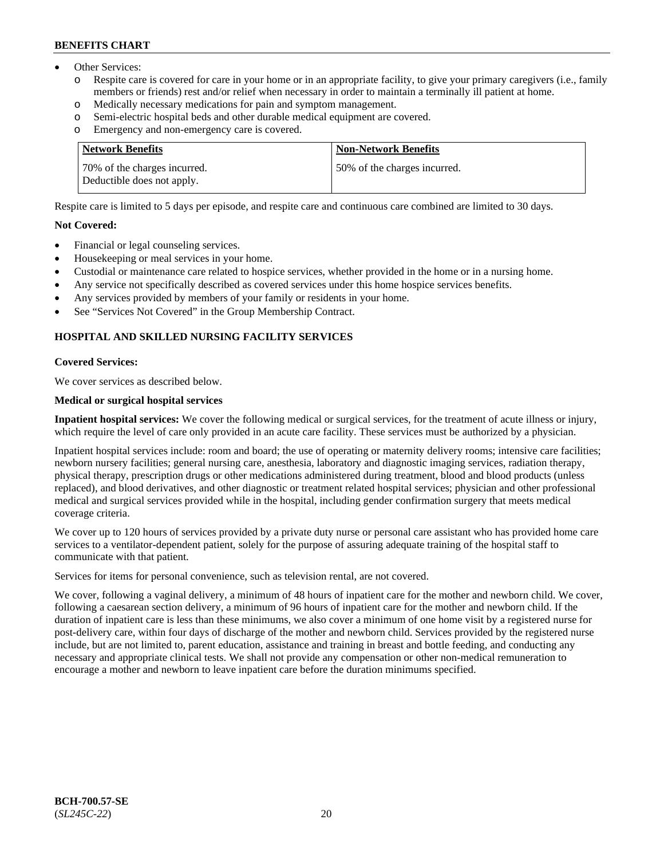- Other Services:
	- Respite care is covered for care in your home or in an appropriate facility, to give your primary caregivers (i.e., family members or friends) rest and/or relief when necessary in order to maintain a terminally ill patient at home.
	- o Medically necessary medications for pain and symptom management.
	- o Semi-electric hospital beds and other durable medical equipment are covered.
	- Emergency and non-emergency care is covered.

| Network Benefits                                           | <b>Non-Network Benefits</b>  |
|------------------------------------------------------------|------------------------------|
| 70% of the charges incurred.<br>Deductible does not apply. | 50% of the charges incurred. |

Respite care is limited to 5 days per episode, and respite care and continuous care combined are limited to 30 days.

#### **Not Covered:**

- Financial or legal counseling services.
- Housekeeping or meal services in your home.
- Custodial or maintenance care related to hospice services, whether provided in the home or in a nursing home.
- Any service not specifically described as covered services under this home hospice services benefits.
- Any services provided by members of your family or residents in your home.
- See "Services Not Covered" in the Group Membership Contract.

# **HOSPITAL AND SKILLED NURSING FACILITY SERVICES**

#### **Covered Services:**

We cover services as described below.

#### **Medical or surgical hospital services**

**Inpatient hospital services:** We cover the following medical or surgical services, for the treatment of acute illness or injury, which require the level of care only provided in an acute care facility. These services must be authorized by a physician.

Inpatient hospital services include: room and board; the use of operating or maternity delivery rooms; intensive care facilities; newborn nursery facilities; general nursing care, anesthesia, laboratory and diagnostic imaging services, radiation therapy, physical therapy, prescription drugs or other medications administered during treatment, blood and blood products (unless replaced), and blood derivatives, and other diagnostic or treatment related hospital services; physician and other professional medical and surgical services provided while in the hospital, including gender confirmation surgery that meets medical coverage criteria.

We cover up to 120 hours of services provided by a private duty nurse or personal care assistant who has provided home care services to a ventilator-dependent patient, solely for the purpose of assuring adequate training of the hospital staff to communicate with that patient.

Services for items for personal convenience, such as television rental, are not covered.

We cover, following a vaginal delivery, a minimum of 48 hours of inpatient care for the mother and newborn child. We cover, following a caesarean section delivery, a minimum of 96 hours of inpatient care for the mother and newborn child. If the duration of inpatient care is less than these minimums, we also cover a minimum of one home visit by a registered nurse for post-delivery care, within four days of discharge of the mother and newborn child. Services provided by the registered nurse include, but are not limited to, parent education, assistance and training in breast and bottle feeding, and conducting any necessary and appropriate clinical tests. We shall not provide any compensation or other non-medical remuneration to encourage a mother and newborn to leave inpatient care before the duration minimums specified.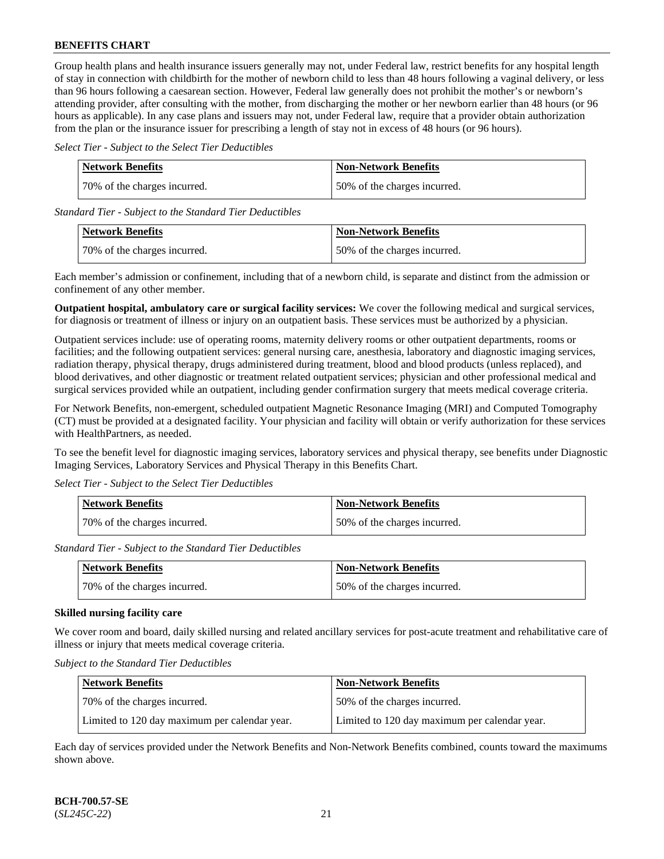Group health plans and health insurance issuers generally may not, under Federal law, restrict benefits for any hospital length of stay in connection with childbirth for the mother of newborn child to less than 48 hours following a vaginal delivery, or less than 96 hours following a caesarean section. However, Federal law generally does not prohibit the mother's or newborn's attending provider, after consulting with the mother, from discharging the mother or her newborn earlier than 48 hours (or 96 hours as applicable). In any case plans and issuers may not, under Federal law, require that a provider obtain authorization from the plan or the insurance issuer for prescribing a length of stay not in excess of 48 hours (or 96 hours).

*Select Tier - Subject to the Select Tier Deductibles*

| <b>Network Benefits</b>      | <b>Non-Network Benefits</b>  |
|------------------------------|------------------------------|
| 70% of the charges incurred. | 50% of the charges incurred. |

*Standard Tier - Subject to the Standard Tier Deductibles*

| Network Benefits             | <b>Non-Network Benefits</b>   |
|------------------------------|-------------------------------|
| 70% of the charges incurred. | 150% of the charges incurred. |

Each member's admission or confinement, including that of a newborn child, is separate and distinct from the admission or confinement of any other member.

**Outpatient hospital, ambulatory care or surgical facility services:** We cover the following medical and surgical services, for diagnosis or treatment of illness or injury on an outpatient basis. These services must be authorized by a physician.

Outpatient services include: use of operating rooms, maternity delivery rooms or other outpatient departments, rooms or facilities; and the following outpatient services: general nursing care, anesthesia, laboratory and diagnostic imaging services, radiation therapy, physical therapy, drugs administered during treatment, blood and blood products (unless replaced), and blood derivatives, and other diagnostic or treatment related outpatient services; physician and other professional medical and surgical services provided while an outpatient, including gender confirmation surgery that meets medical coverage criteria.

For Network Benefits, non-emergent, scheduled outpatient Magnetic Resonance Imaging (MRI) and Computed Tomography (CT) must be provided at a designated facility. Your physician and facility will obtain or verify authorization for these services with HealthPartners, as needed.

To see the benefit level for diagnostic imaging services, laboratory services and physical therapy, see benefits under Diagnostic Imaging Services, Laboratory Services and Physical Therapy in this Benefits Chart.

*Select Tier - Subject to the Select Tier Deductibles*

| Network Benefits             | <b>Non-Network Benefits</b>  |
|------------------------------|------------------------------|
| 70% of the charges incurred. | 50% of the charges incurred. |

*Standard Tier - Subject to the Standard Tier Deductibles*

| Network Benefits             | <b>Non-Network Benefits</b>   |
|------------------------------|-------------------------------|
| 70% of the charges incurred. | 150% of the charges incurred. |

### **Skilled nursing facility care**

We cover room and board, daily skilled nursing and related ancillary services for post-acute treatment and rehabilitative care of illness or injury that meets medical coverage criteria.

*Subject to the Standard Tier Deductibles*

| <b>Network Benefits</b>                       | <b>Non-Network Benefits</b>                   |
|-----------------------------------------------|-----------------------------------------------|
| 70% of the charges incurred.                  | 50% of the charges incurred.                  |
| Limited to 120 day maximum per calendar year. | Limited to 120 day maximum per calendar year. |

Each day of services provided under the Network Benefits and Non-Network Benefits combined, counts toward the maximums shown above.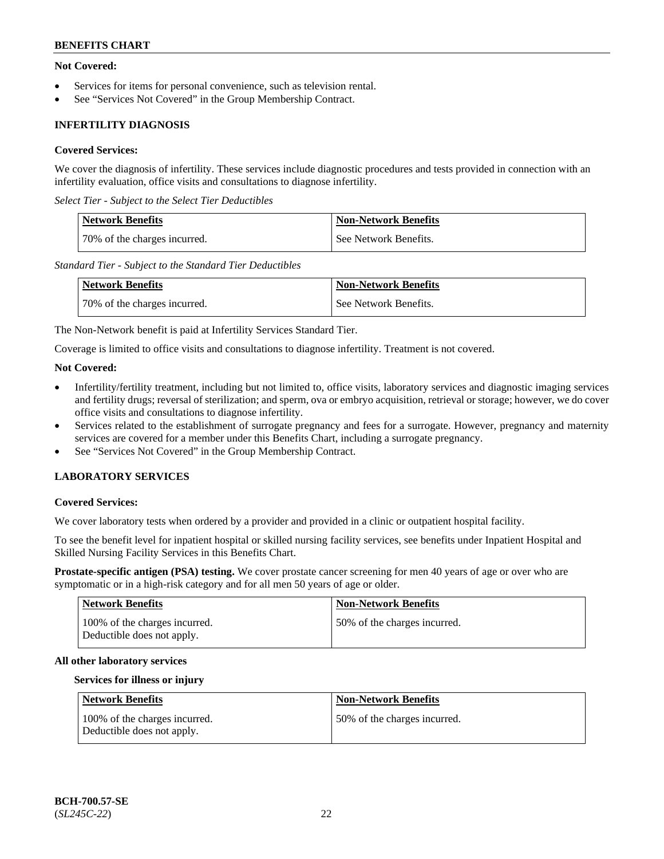### **Not Covered:**

- Services for items for personal convenience, such as television rental.
- See "Services Not Covered" in the Group Membership Contract.

# **INFERTILITY DIAGNOSIS**

### **Covered Services:**

We cover the diagnosis of infertility. These services include diagnostic procedures and tests provided in connection with an infertility evaluation, office visits and consultations to diagnose infertility.

*Select Tier - Subject to the Select Tier Deductibles*

| <b>Network Benefits</b>      | <b>Non-Network Benefits</b> |
|------------------------------|-----------------------------|
| 70% of the charges incurred. | See Network Benefits.       |

*Standard Tier - Subject to the Standard Tier Deductibles*

| <b>Network Benefits</b>      | <b>Non-Network Benefits</b> |
|------------------------------|-----------------------------|
| 70% of the charges incurred. | See Network Benefits.       |

The Non-Network benefit is paid at Infertility Services Standard Tier.

Coverage is limited to office visits and consultations to diagnose infertility. Treatment is not covered.

### **Not Covered:**

- Infertility/fertility treatment, including but not limited to, office visits, laboratory services and diagnostic imaging services and fertility drugs; reversal of sterilization; and sperm, ova or embryo acquisition, retrieval or storage; however, we do cover office visits and consultations to diagnose infertility.
- Services related to the establishment of surrogate pregnancy and fees for a surrogate. However, pregnancy and maternity services are covered for a member under this Benefits Chart, including a surrogate pregnancy.
- See "Services Not Covered" in the Group Membership Contract.

# **LABORATORY SERVICES**

#### **Covered Services:**

We cover laboratory tests when ordered by a provider and provided in a clinic or outpatient hospital facility.

To see the benefit level for inpatient hospital or skilled nursing facility services, see benefits under Inpatient Hospital and Skilled Nursing Facility Services in this Benefits Chart.

**Prostate-specific antigen (PSA) testing.** We cover prostate cancer screening for men 40 years of age or over who are symptomatic or in a high-risk category and for all men 50 years of age or older.

| <b>Network Benefits</b>                                     | <b>Non-Network Benefits</b>  |
|-------------------------------------------------------------|------------------------------|
| 100% of the charges incurred.<br>Deductible does not apply. | 50% of the charges incurred. |

#### **All other laboratory services**

#### **Services for illness or injury**

| Network Benefits                                            | <b>Non-Network Benefits</b>  |
|-------------------------------------------------------------|------------------------------|
| 100% of the charges incurred.<br>Deductible does not apply. | 50% of the charges incurred. |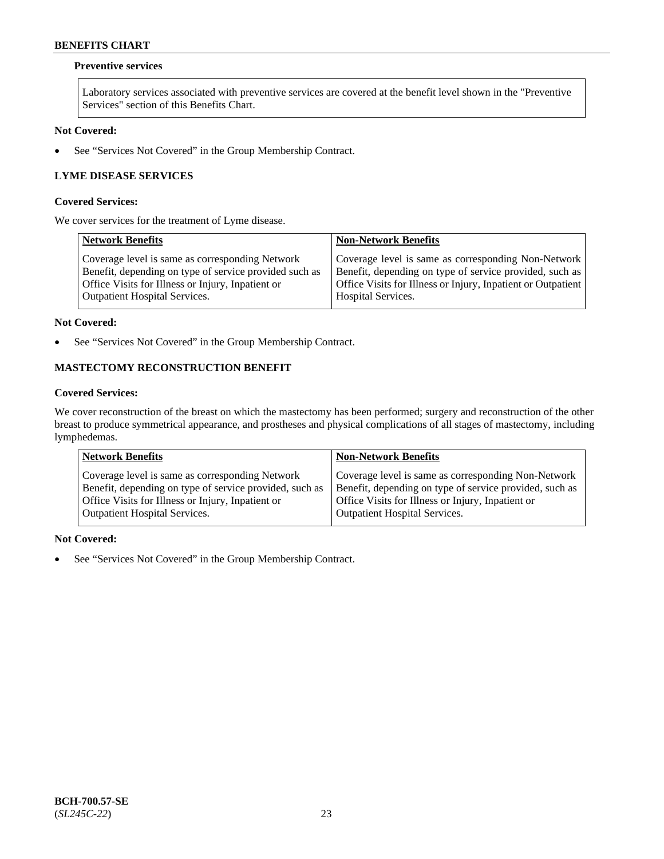### **Preventive services**

Laboratory services associated with preventive services are covered at the benefit level shown in the "Preventive Services" section of this Benefits Chart.

# **Not Covered:**

• See "Services Not Covered" in the Group Membership Contract.

# **LYME DISEASE SERVICES**

#### **Covered Services:**

We cover services for the treatment of Lyme disease.

| <b>Network Benefits</b>                                | <b>Non-Network Benefits</b>                                  |
|--------------------------------------------------------|--------------------------------------------------------------|
| Coverage level is same as corresponding Network        | Coverage level is same as corresponding Non-Network          |
| Benefit, depending on type of service provided such as | Benefit, depending on type of service provided, such as      |
| Office Visits for Illness or Injury, Inpatient or      | Office Visits for Illness or Injury, Inpatient or Outpatient |
| <b>Outpatient Hospital Services.</b>                   | <b>Hospital Services.</b>                                    |

#### **Not Covered:**

• See "Services Not Covered" in the Group Membership Contract.

# **MASTECTOMY RECONSTRUCTION BENEFIT**

### **Covered Services:**

We cover reconstruction of the breast on which the mastectomy has been performed; surgery and reconstruction of the other breast to produce symmetrical appearance, and prostheses and physical complications of all stages of mastectomy, including lymphedemas.

| <b>Network Benefits</b>                                 | <b>Non-Network Benefits</b>                             |
|---------------------------------------------------------|---------------------------------------------------------|
| Coverage level is same as corresponding Network         | Coverage level is same as corresponding Non-Network     |
| Benefit, depending on type of service provided, such as | Benefit, depending on type of service provided, such as |
| Office Visits for Illness or Injury, Inpatient or       | Office Visits for Illness or Injury, Inpatient or       |
| <b>Outpatient Hospital Services.</b>                    | Outpatient Hospital Services.                           |

#### **Not Covered:**

• See "Services Not Covered" in the Group Membership Contract.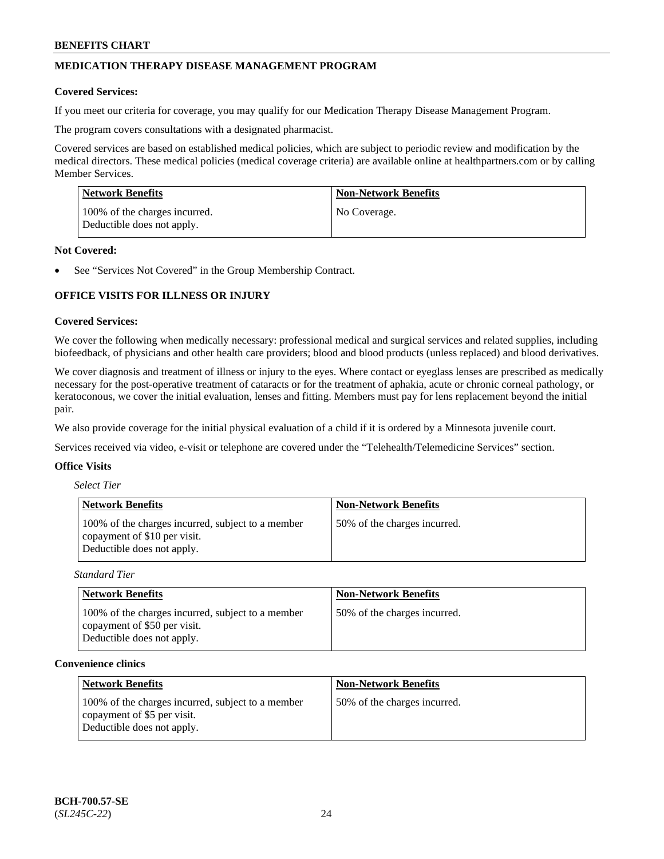# **MEDICATION THERAPY DISEASE MANAGEMENT PROGRAM**

#### **Covered Services:**

If you meet our criteria for coverage, you may qualify for our Medication Therapy Disease Management Program.

The program covers consultations with a designated pharmacist.

Covered services are based on established medical policies, which are subject to periodic review and modification by the medical directors. These medical policies (medical coverage criteria) are available online at [healthpartners.com](https://www.healthpartners.com/hp/index.html) or by calling Member Services.

| Network Benefits                                            | <b>Non-Network Benefits</b> |
|-------------------------------------------------------------|-----------------------------|
| 100% of the charges incurred.<br>Deductible does not apply. | No Coverage.                |

#### **Not Covered:**

See "Services Not Covered" in the Group Membership Contract.

# **OFFICE VISITS FOR ILLNESS OR INJURY**

#### **Covered Services:**

We cover the following when medically necessary: professional medical and surgical services and related supplies, including biofeedback, of physicians and other health care providers; blood and blood products (unless replaced) and blood derivatives.

We cover diagnosis and treatment of illness or injury to the eyes. Where contact or eyeglass lenses are prescribed as medically necessary for the post-operative treatment of cataracts or for the treatment of aphakia, acute or chronic corneal pathology, or keratoconous, we cover the initial evaluation, lenses and fitting. Members must pay for lens replacement beyond the initial pair.

We also provide coverage for the initial physical evaluation of a child if it is ordered by a Minnesota juvenile court.

Services received via video, e-visit or telephone are covered under the "Telehealth/Telemedicine Services" section.

### **Office Visits**

| <b>Select Tier</b> |  |
|--------------------|--|
|--------------------|--|

| <b>Network Benefits</b>                                                                                         | <b>Non-Network Benefits</b>  |
|-----------------------------------------------------------------------------------------------------------------|------------------------------|
| 100% of the charges incurred, subject to a member<br>copayment of \$10 per visit.<br>Deductible does not apply. | 50% of the charges incurred. |

*Standard Tier*

| <b>Network Benefits</b>                                                                                         | <b>Non-Network Benefits</b>  |
|-----------------------------------------------------------------------------------------------------------------|------------------------------|
| 100% of the charges incurred, subject to a member<br>copayment of \$50 per visit.<br>Deductible does not apply. | 50% of the charges incurred. |

#### **Convenience clinics**

| <b>Network Benefits</b>                                                                                        | <b>Non-Network Benefits</b>  |
|----------------------------------------------------------------------------------------------------------------|------------------------------|
| 100% of the charges incurred, subject to a member<br>copayment of \$5 per visit.<br>Deductible does not apply. | 50% of the charges incurred. |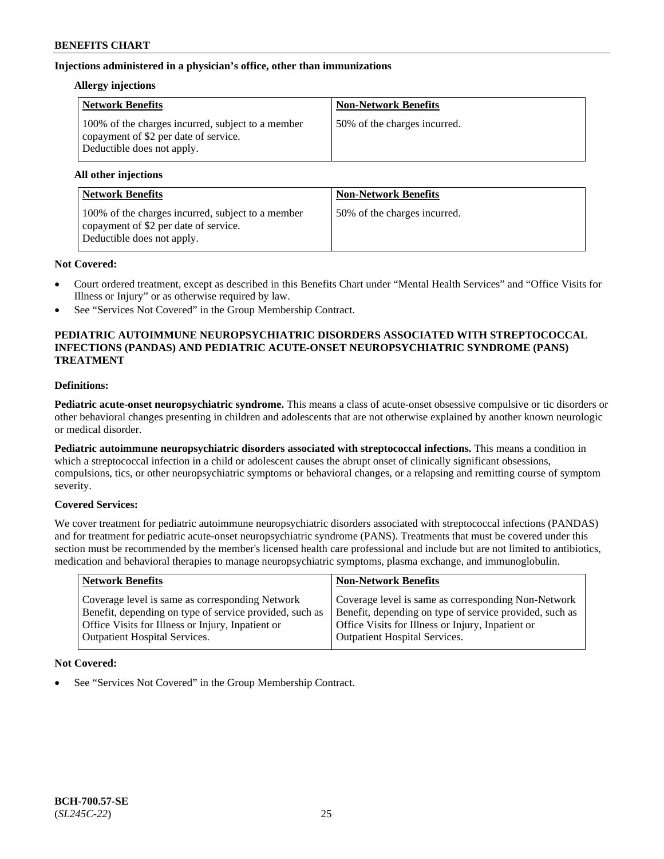### **Injections administered in a physician's office, other than immunizations**

### **Allergy injections**

| <b>Network Benefits</b>                                                                                                  | <b>Non-Network Benefits</b>  |
|--------------------------------------------------------------------------------------------------------------------------|------------------------------|
| 100% of the charges incurred, subject to a member<br>copayment of \$2 per date of service.<br>Deductible does not apply. | 50% of the charges incurred. |

#### **All other injections**

| <b>Network Benefits</b>                                                                                                  | <b>Non-Network Benefits</b>  |
|--------------------------------------------------------------------------------------------------------------------------|------------------------------|
| 100% of the charges incurred, subject to a member<br>copayment of \$2 per date of service.<br>Deductible does not apply. | 50% of the charges incurred. |

### **Not Covered:**

- Court ordered treatment, except as described in this Benefits Chart under "Mental Health Services" and "Office Visits for Illness or Injury" or as otherwise required by law.
- See "Services Not Covered" in the Group Membership Contract.

### **PEDIATRIC AUTOIMMUNE NEUROPSYCHIATRIC DISORDERS ASSOCIATED WITH STREPTOCOCCAL INFECTIONS (PANDAS) AND PEDIATRIC ACUTE-ONSET NEUROPSYCHIATRIC SYNDROME (PANS) TREATMENT**

### **Definitions:**

**Pediatric acute-onset neuropsychiatric syndrome.** This means a class of acute-onset obsessive compulsive or tic disorders or other behavioral changes presenting in children and adolescents that are not otherwise explained by another known neurologic or medical disorder.

**Pediatric autoimmune neuropsychiatric disorders associated with streptococcal infections.** This means a condition in which a streptococcal infection in a child or adolescent causes the abrupt onset of clinically significant obsessions, compulsions, tics, or other neuropsychiatric symptoms or behavioral changes, or a relapsing and remitting course of symptom severity.

### **Covered Services:**

We cover treatment for pediatric autoimmune neuropsychiatric disorders associated with streptococcal infections (PANDAS) and for treatment for pediatric acute-onset neuropsychiatric syndrome (PANS). Treatments that must be covered under this section must be recommended by the member's licensed health care professional and include but are not limited to antibiotics, medication and behavioral therapies to manage neuropsychiatric symptoms, plasma exchange, and immunoglobulin.

| <b>Network Benefits</b>                                 | <b>Non-Network Benefits</b>                             |
|---------------------------------------------------------|---------------------------------------------------------|
| Coverage level is same as corresponding Network         | Coverage level is same as corresponding Non-Network     |
| Benefit, depending on type of service provided, such as | Benefit, depending on type of service provided, such as |
| Office Visits for Illness or Injury, Inpatient or       | Office Visits for Illness or Injury, Inpatient or       |
| Outpatient Hospital Services.                           | Outpatient Hospital Services.                           |

### **Not Covered:**

See "Services Not Covered" in the Group Membership Contract.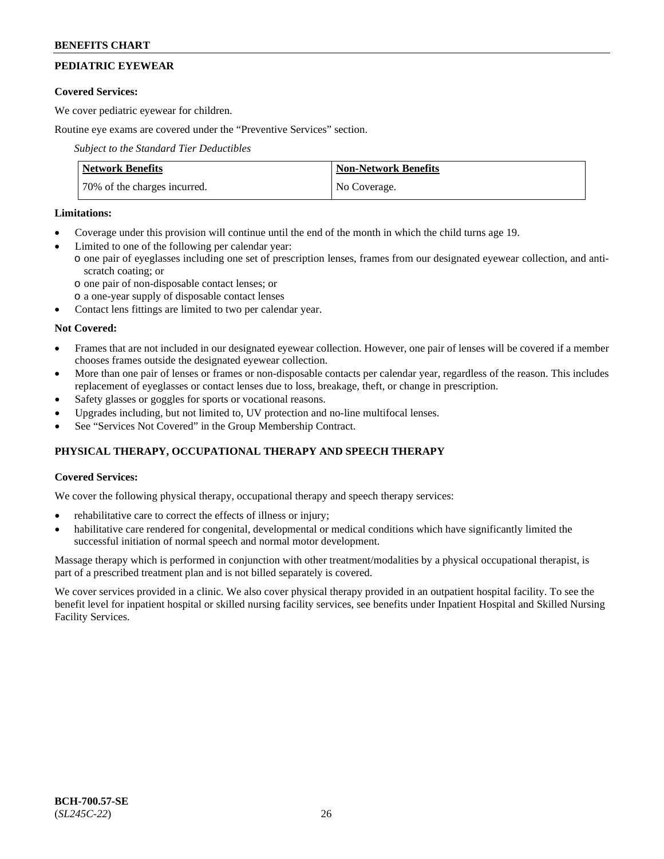# **PEDIATRIC EYEWEAR**

### **Covered Services:**

We cover pediatric eyewear for children.

Routine eye exams are covered under the "Preventive Services" section.

*Subject to the Standard Tier Deductibles*

| <b>Network Benefits</b>      | <b>Non-Network Benefits</b> |
|------------------------------|-----------------------------|
| 70% of the charges incurred. | No Coverage.                |

### **Limitations:**

- Coverage under this provision will continue until the end of the month in which the child turns age 19.
- Limited to one of the following per calendar year:
- o one pair of eyeglasses including one set of prescription lenses, frames from our designated eyewear collection, and antiscratch coating; or
	- o one pair of non-disposable contact lenses; or
	- o a one-year supply of disposable contact lenses
- Contact lens fittings are limited to two per calendar year.

### **Not Covered:**

- Frames that are not included in our designated eyewear collection. However, one pair of lenses will be covered if a member chooses frames outside the designated eyewear collection.
- More than one pair of lenses or frames or non-disposable contacts per calendar year, regardless of the reason. This includes replacement of eyeglasses or contact lenses due to loss, breakage, theft, or change in prescription.
- Safety glasses or goggles for sports or vocational reasons.
- Upgrades including, but not limited to, UV protection and no-line multifocal lenses.
- See "Services Not Covered" in the Group Membership Contract.

# **PHYSICAL THERAPY, OCCUPATIONAL THERAPY AND SPEECH THERAPY**

### **Covered Services:**

We cover the following physical therapy, occupational therapy and speech therapy services:

- rehabilitative care to correct the effects of illness or injury;
- habilitative care rendered for congenital, developmental or medical conditions which have significantly limited the successful initiation of normal speech and normal motor development.

Massage therapy which is performed in conjunction with other treatment/modalities by a physical occupational therapist, is part of a prescribed treatment plan and is not billed separately is covered.

We cover services provided in a clinic. We also cover physical therapy provided in an outpatient hospital facility. To see the benefit level for inpatient hospital or skilled nursing facility services, see benefits under Inpatient Hospital and Skilled Nursing Facility Services.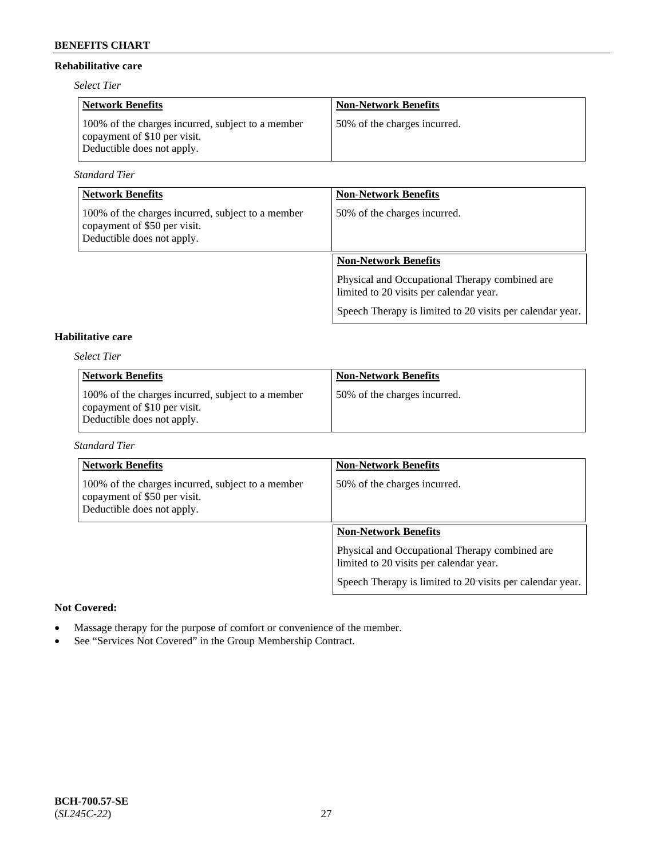### **Rehabilitative care**

*Select Tier*

| <b>Network Benefits</b>                                                                                         | <b>Non-Network Benefits</b>  |
|-----------------------------------------------------------------------------------------------------------------|------------------------------|
| 100% of the charges incurred, subject to a member<br>copayment of \$10 per visit.<br>Deductible does not apply. | 50% of the charges incurred. |

*Standard Tier*

| <b>Network Benefits</b>                                                                                         | <b>Non-Network Benefits</b>                                                               |
|-----------------------------------------------------------------------------------------------------------------|-------------------------------------------------------------------------------------------|
| 100% of the charges incurred, subject to a member<br>copayment of \$50 per visit.<br>Deductible does not apply. | 50% of the charges incurred.                                                              |
|                                                                                                                 | <b>Non-Network Benefits</b>                                                               |
|                                                                                                                 | Physical and Occupational Therapy combined are<br>limited to 20 visits per calendar year. |
|                                                                                                                 | Speech Therapy is limited to 20 visits per calendar year.                                 |

# **Habilitative care**

*Select Tier*

| <b>Network Benefits</b>                                                                                         | <b>Non-Network Benefits</b>  |
|-----------------------------------------------------------------------------------------------------------------|------------------------------|
| 100% of the charges incurred, subject to a member<br>copayment of \$10 per visit.<br>Deductible does not apply. | 50% of the charges incurred. |

### *Standard Tier*

| <b>Network Benefits</b>                                                                                         | <b>Non-Network Benefits</b>                                                               |
|-----------------------------------------------------------------------------------------------------------------|-------------------------------------------------------------------------------------------|
| 100% of the charges incurred, subject to a member<br>copayment of \$50 per visit.<br>Deductible does not apply. | 50% of the charges incurred.                                                              |
|                                                                                                                 | <b>Non-Network Benefits</b>                                                               |
|                                                                                                                 | Physical and Occupational Therapy combined are<br>limited to 20 visits per calendar year. |
|                                                                                                                 | Speech Therapy is limited to 20 visits per calendar year.                                 |

### **Not Covered:**

- Massage therapy for the purpose of comfort or convenience of the member.
- See "Services Not Covered" in the Group Membership Contract.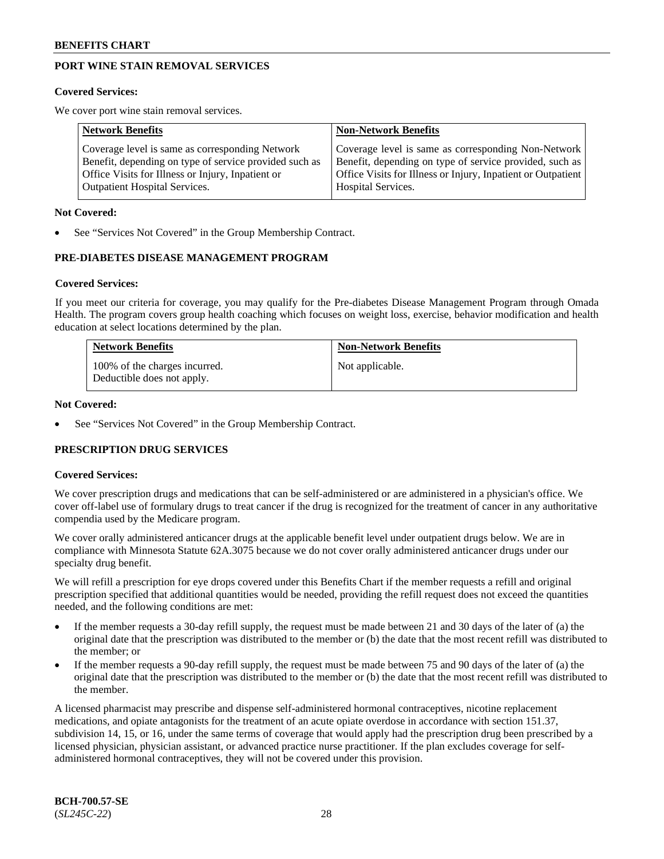# **PORT WINE STAIN REMOVAL SERVICES**

#### **Covered Services:**

We cover port wine stain removal services.

| <b>Network Benefits</b>                                | <b>Non-Network Benefits</b>                                  |
|--------------------------------------------------------|--------------------------------------------------------------|
| Coverage level is same as corresponding Network        | Coverage level is same as corresponding Non-Network          |
| Benefit, depending on type of service provided such as | Benefit, depending on type of service provided, such as      |
| Office Visits for Illness or Injury, Inpatient or      | Office Visits for Illness or Injury, Inpatient or Outpatient |
| <b>Outpatient Hospital Services.</b>                   | Hospital Services.                                           |

#### **Not Covered:**

See "Services Not Covered" in the Group Membership Contract.

### **PRE-DIABETES DISEASE MANAGEMENT PROGRAM**

#### **Covered Services:**

If you meet our criteria for coverage, you may qualify for the Pre-diabetes Disease Management Program through Omada Health. The program covers group health coaching which focuses on weight loss, exercise, behavior modification and health education at select locations determined by the plan.

| <b>Network Benefits</b>                                     | <b>Non-Network Benefits</b> |
|-------------------------------------------------------------|-----------------------------|
| 100% of the charges incurred.<br>Deductible does not apply. | Not applicable.             |

#### **Not Covered:**

See "Services Not Covered" in the Group Membership Contract.

### **PRESCRIPTION DRUG SERVICES**

### **Covered Services:**

We cover prescription drugs and medications that can be self-administered or are administered in a physician's office. We cover off-label use of formulary drugs to treat cancer if the drug is recognized for the treatment of cancer in any authoritative compendia used by the Medicare program.

We cover orally administered anticancer drugs at the applicable benefit level under outpatient drugs below. We are in compliance with Minnesota Statute 62A.3075 because we do not cover orally administered anticancer drugs under our specialty drug benefit.

We will refill a prescription for eye drops covered under this Benefits Chart if the member requests a refill and original prescription specified that additional quantities would be needed, providing the refill request does not exceed the quantities needed, and the following conditions are met:

- If the member requests a 30-day refill supply, the request must be made between 21 and 30 days of the later of (a) the original date that the prescription was distributed to the member or (b) the date that the most recent refill was distributed to the member; or
- If the member requests a 90-day refill supply, the request must be made between 75 and 90 days of the later of (a) the original date that the prescription was distributed to the member or (b) the date that the most recent refill was distributed to the member.

A licensed pharmacist may prescribe and dispense self-administered hormonal contraceptives, nicotine replacement medications, and opiate antagonists for the treatment of an acute opiate overdose in accordance with section 151.37, subdivision 14, 15, or 16, under the same terms of coverage that would apply had the prescription drug been prescribed by a licensed physician, physician assistant, or advanced practice nurse practitioner. If the plan excludes coverage for selfadministered hormonal contraceptives, they will not be covered under this provision.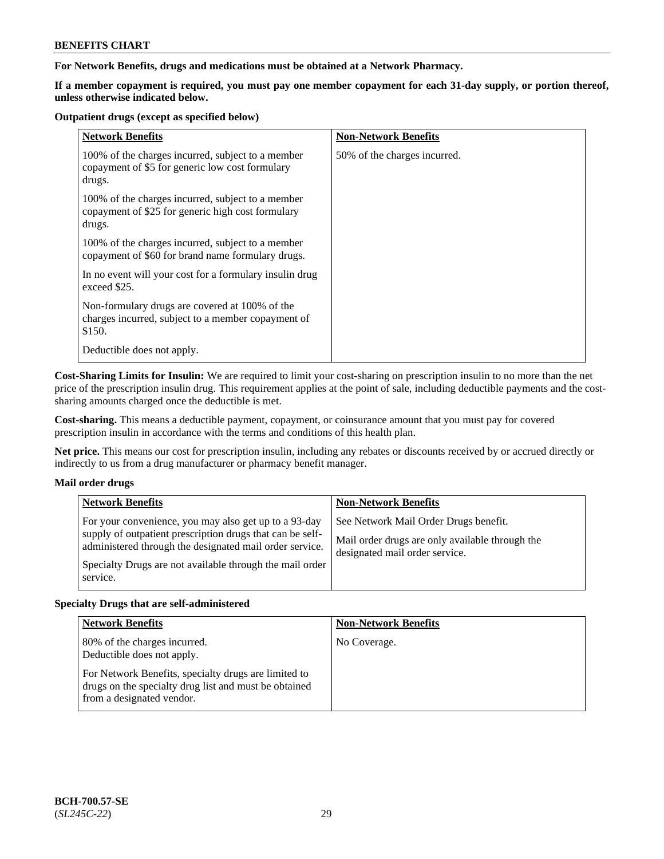**For Network Benefits, drugs and medications must be obtained at a Network Pharmacy.**

**If a member copayment is required, you must pay one member copayment for each 31-day supply, or portion thereof, unless otherwise indicated below.**

#### **Outpatient drugs (except as specified below)**

| <b>Network Benefits</b>                                                                                          | <b>Non-Network Benefits</b>  |
|------------------------------------------------------------------------------------------------------------------|------------------------------|
| 100% of the charges incurred, subject to a member<br>copayment of \$5 for generic low cost formulary<br>drugs.   | 50% of the charges incurred. |
| 100% of the charges incurred, subject to a member<br>copayment of \$25 for generic high cost formulary<br>drugs. |                              |
| 100% of the charges incurred, subject to a member<br>copayment of \$60 for brand name formulary drugs.           |                              |
| In no event will your cost for a formulary insulin drug<br>exceed \$25.                                          |                              |
| Non-formulary drugs are covered at 100% of the<br>charges incurred, subject to a member copayment of<br>\$150.   |                              |
| Deductible does not apply.                                                                                       |                              |

**Cost-Sharing Limits for Insulin:** We are required to limit your cost-sharing on prescription insulin to no more than the net price of the prescription insulin drug. This requirement applies at the point of sale, including deductible payments and the costsharing amounts charged once the deductible is met.

**Cost-sharing.** This means a deductible payment, copayment, or coinsurance amount that you must pay for covered prescription insulin in accordance with the terms and conditions of this health plan.

**Net price.** This means our cost for prescription insulin, including any rebates or discounts received by or accrued directly or indirectly to us from a drug manufacturer or pharmacy benefit manager.

### **Mail order drugs**

|          | <b>Network Benefits</b>                                                                                                                                                                                                                   | <b>Non-Network Benefits</b>                                                                                                |
|----------|-------------------------------------------------------------------------------------------------------------------------------------------------------------------------------------------------------------------------------------------|----------------------------------------------------------------------------------------------------------------------------|
| service. | For your convenience, you may also get up to a 93-day<br>supply of outpatient prescription drugs that can be self-<br>administered through the designated mail order service.<br>Specialty Drugs are not available through the mail order | See Network Mail Order Drugs benefit.<br>Mail order drugs are only available through the<br>designated mail order service. |

### **Specialty Drugs that are self-administered**

| <b>Network Benefits</b>                                                                                                                    | <b>Non-Network Benefits</b> |
|--------------------------------------------------------------------------------------------------------------------------------------------|-----------------------------|
| 80% of the charges incurred.<br>Deductible does not apply.                                                                                 | No Coverage.                |
| For Network Benefits, specialty drugs are limited to<br>drugs on the specialty drug list and must be obtained<br>from a designated vendor. |                             |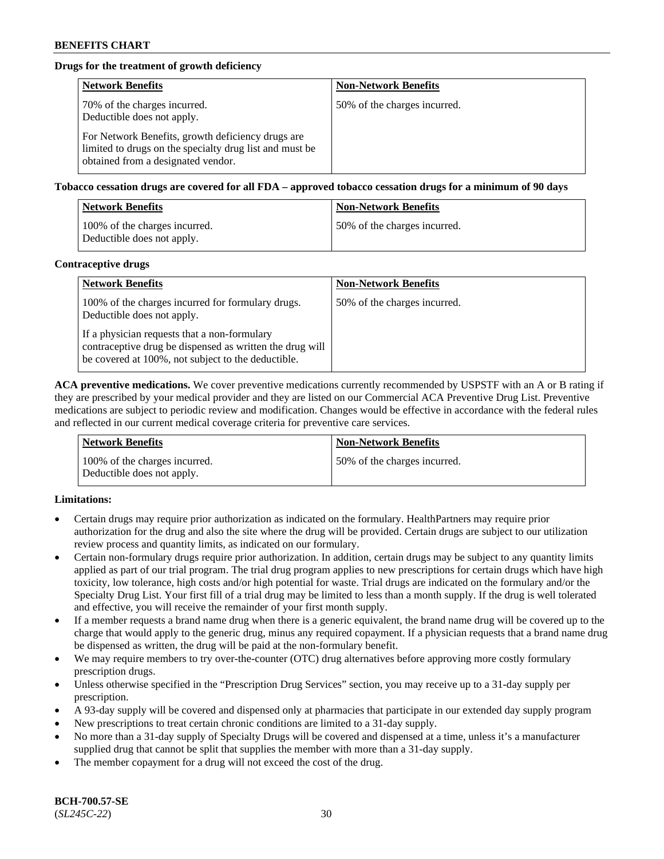# **Drugs for the treatment of growth deficiency**

| <b>Network Benefits</b>                                                                                                                            | <b>Non-Network Benefits</b>  |
|----------------------------------------------------------------------------------------------------------------------------------------------------|------------------------------|
| 70% of the charges incurred.<br>Deductible does not apply.                                                                                         | 50% of the charges incurred. |
| For Network Benefits, growth deficiency drugs are<br>limited to drugs on the specialty drug list and must be<br>obtained from a designated vendor. |                              |

**Tobacco cessation drugs are covered for all FDA – approved tobacco cessation drugs for a minimum of 90 days**

| <b>Network Benefits</b>                                     | <b>Non-Network Benefits</b>  |
|-------------------------------------------------------------|------------------------------|
| 100% of the charges incurred.<br>Deductible does not apply. | 50% of the charges incurred. |

#### **Contraceptive drugs**

| <b>Network Benefits</b>                                                                                                                                        | <b>Non-Network Benefits</b>  |
|----------------------------------------------------------------------------------------------------------------------------------------------------------------|------------------------------|
| 100% of the charges incurred for formulary drugs.<br>Deductible does not apply.                                                                                | 50% of the charges incurred. |
| If a physician requests that a non-formulary<br>contraceptive drug be dispensed as written the drug will<br>be covered at 100%, not subject to the deductible. |                              |

**ACA preventive medications.** We cover preventive medications currently recommended by USPSTF with an A or B rating if they are prescribed by your medical provider and they are listed on our Commercial ACA Preventive Drug List. Preventive medications are subject to periodic review and modification. Changes would be effective in accordance with the federal rules and reflected in our current medical coverage criteria for preventive care services.

| <b>Network Benefits</b>                                     | <b>Non-Network Benefits</b>  |
|-------------------------------------------------------------|------------------------------|
| 100% of the charges incurred.<br>Deductible does not apply. | 50% of the charges incurred. |

### **Limitations:**

- Certain drugs may require prior authorization as indicated on the formulary. HealthPartners may require prior authorization for the drug and also the site where the drug will be provided. Certain drugs are subject to our utilization review process and quantity limits, as indicated on our formulary.
- Certain non-formulary drugs require prior authorization. In addition, certain drugs may be subject to any quantity limits applied as part of our trial program. The trial drug program applies to new prescriptions for certain drugs which have high toxicity, low tolerance, high costs and/or high potential for waste. Trial drugs are indicated on the formulary and/or the Specialty Drug List. Your first fill of a trial drug may be limited to less than a month supply. If the drug is well tolerated and effective, you will receive the remainder of your first month supply.
- If a member requests a brand name drug when there is a generic equivalent, the brand name drug will be covered up to the charge that would apply to the generic drug, minus any required copayment. If a physician requests that a brand name drug be dispensed as written, the drug will be paid at the non-formulary benefit.
- We may require members to try over-the-counter (OTC) drug alternatives before approving more costly formulary prescription drugs.
- Unless otherwise specified in the "Prescription Drug Services" section, you may receive up to a 31-day supply per prescription.
- A 93-day supply will be covered and dispensed only at pharmacies that participate in our extended day supply program
- New prescriptions to treat certain chronic conditions are limited to a 31-day supply.
- No more than a 31-day supply of Specialty Drugs will be covered and dispensed at a time, unless it's a manufacturer supplied drug that cannot be split that supplies the member with more than a 31-day supply.
- The member copayment for a drug will not exceed the cost of the drug.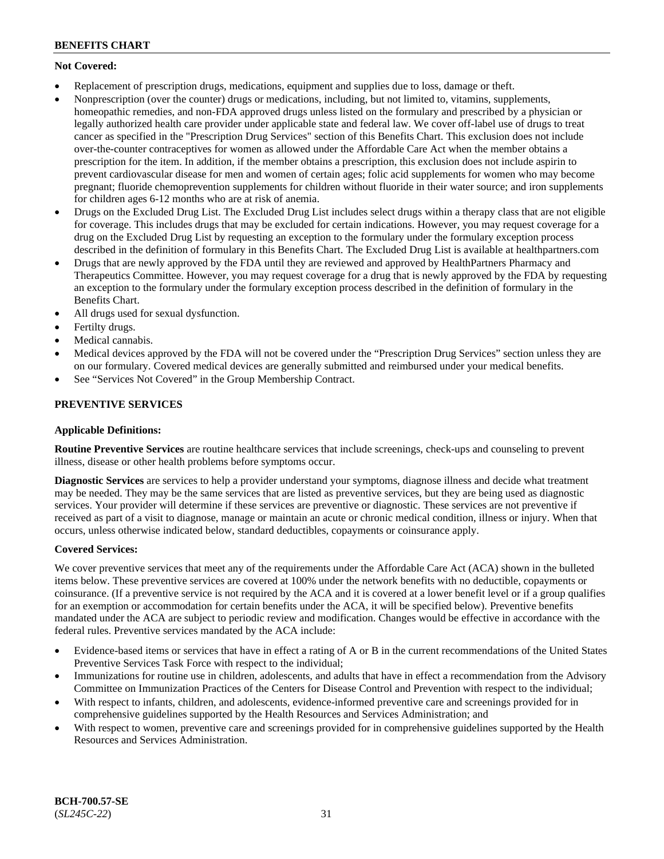# **Not Covered:**

- Replacement of prescription drugs, medications, equipment and supplies due to loss, damage or theft.
- Nonprescription (over the counter) drugs or medications, including, but not limited to, vitamins, supplements, homeopathic remedies, and non-FDA approved drugs unless listed on the formulary and prescribed by a physician or legally authorized health care provider under applicable state and federal law. We cover off-label use of drugs to treat cancer as specified in the "Prescription Drug Services" section of this Benefits Chart. This exclusion does not include over-the-counter contraceptives for women as allowed under the Affordable Care Act when the member obtains a prescription for the item. In addition, if the member obtains a prescription, this exclusion does not include aspirin to prevent cardiovascular disease for men and women of certain ages; folic acid supplements for women who may become pregnant; fluoride chemoprevention supplements for children without fluoride in their water source; and iron supplements for children ages 6-12 months who are at risk of anemia.
- Drugs on the Excluded Drug List. The Excluded Drug List includes select drugs within a therapy class that are not eligible for coverage. This includes drugs that may be excluded for certain indications. However, you may request coverage for a drug on the Excluded Drug List by requesting an exception to the formulary under the formulary exception process described in the definition of formulary in this Benefits Chart. The Excluded Drug List is available at [healthpartners.com](http://www.healthpartners.com/)
- Drugs that are newly approved by the FDA until they are reviewed and approved by HealthPartners Pharmacy and Therapeutics Committee. However, you may request coverage for a drug that is newly approved by the FDA by requesting an exception to the formulary under the formulary exception process described in the definition of formulary in the Benefits Chart.
- All drugs used for sexual dysfunction.
- Fertilty drugs.
- Medical cannabis.
- Medical devices approved by the FDA will not be covered under the "Prescription Drug Services" section unless they are on our formulary. Covered medical devices are generally submitted and reimbursed under your medical benefits.
- See "Services Not Covered" in the Group Membership Contract.

# **PREVENTIVE SERVICES**

### **Applicable Definitions:**

**Routine Preventive Services** are routine healthcare services that include screenings, check-ups and counseling to prevent illness, disease or other health problems before symptoms occur.

**Diagnostic Services** are services to help a provider understand your symptoms, diagnose illness and decide what treatment may be needed. They may be the same services that are listed as preventive services, but they are being used as diagnostic services. Your provider will determine if these services are preventive or diagnostic. These services are not preventive if received as part of a visit to diagnose, manage or maintain an acute or chronic medical condition, illness or injury. When that occurs, unless otherwise indicated below, standard deductibles, copayments or coinsurance apply.

### **Covered Services:**

We cover preventive services that meet any of the requirements under the Affordable Care Act (ACA) shown in the bulleted items below. These preventive services are covered at 100% under the network benefits with no deductible, copayments or coinsurance. (If a preventive service is not required by the ACA and it is covered at a lower benefit level or if a group qualifies for an exemption or accommodation for certain benefits under the ACA, it will be specified below). Preventive benefits mandated under the ACA are subject to periodic review and modification. Changes would be effective in accordance with the federal rules. Preventive services mandated by the ACA include:

- Evidence-based items or services that have in effect a rating of A or B in the current recommendations of the United States Preventive Services Task Force with respect to the individual;
- Immunizations for routine use in children, adolescents, and adults that have in effect a recommendation from the Advisory Committee on Immunization Practices of the Centers for Disease Control and Prevention with respect to the individual;
- With respect to infants, children, and adolescents, evidence-informed preventive care and screenings provided for in comprehensive guidelines supported by the Health Resources and Services Administration; and
- With respect to women, preventive care and screenings provided for in comprehensive guidelines supported by the Health Resources and Services Administration.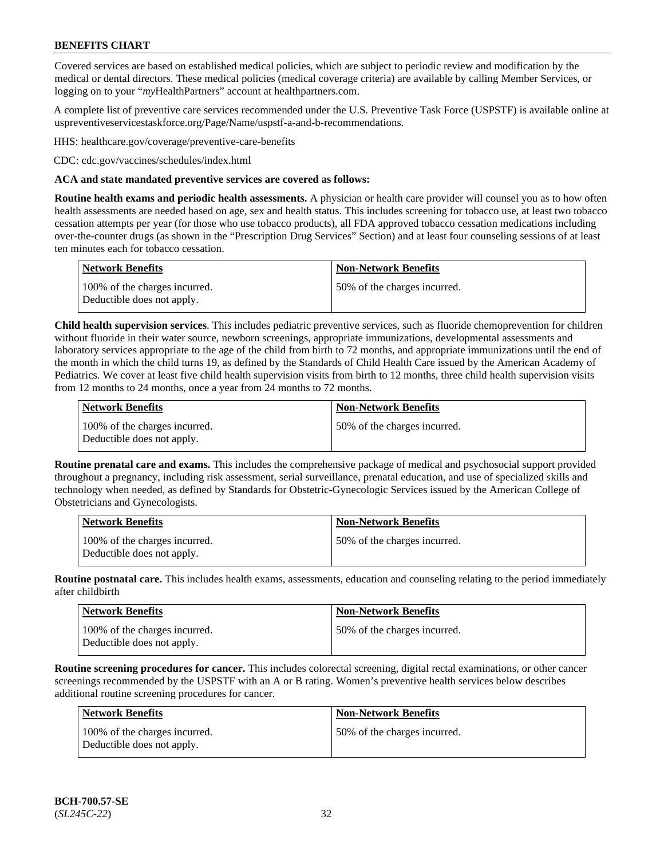Covered services are based on established medical policies, which are subject to periodic review and modification by the medical or dental directors. These medical policies (medical coverage criteria) are available by calling Member Services, or logging on to your "*my*HealthPartners" account at [healthpartners.com.](http://www.healthpartners.com/)

A complete list of preventive care services recommended under the U.S. Preventive Task Force (USPSTF) is available online at [uspreventiveservicestaskforce.org/Page/Name/uspstf-a-and-b-recommendations.](https://www.uspreventiveservicestaskforce.org/Page/Name/uspstf-a-and-b-recommendations-by-date/)

HHS: [healthcare.gov/coverage/preventive-care-benefits](https://www.healthcare.gov/coverage/preventive-care-benefits/)

CDC: [cdc.gov/vaccines/schedules/index.html](https://www.cdc.gov/vaccines/schedules/index.html)

### **ACA and state mandated preventive services are covered as follows:**

**Routine health exams and periodic health assessments.** A physician or health care provider will counsel you as to how often health assessments are needed based on age, sex and health status. This includes screening for tobacco use, at least two tobacco cessation attempts per year (for those who use tobacco products), all FDA approved tobacco cessation medications including over-the-counter drugs (as shown in the "Prescription Drug Services" Section) and at least four counseling sessions of at least ten minutes each for tobacco cessation.

| Network Benefits                                            | <b>Non-Network Benefits</b>  |
|-------------------------------------------------------------|------------------------------|
| 100% of the charges incurred.<br>Deductible does not apply. | 50% of the charges incurred. |

**Child health supervision services**. This includes pediatric preventive services, such as fluoride chemoprevention for children without fluoride in their water source, newborn screenings, appropriate immunizations, developmental assessments and laboratory services appropriate to the age of the child from birth to 72 months, and appropriate immunizations until the end of the month in which the child turns 19, as defined by the Standards of Child Health Care issued by the American Academy of Pediatrics. We cover at least five child health supervision visits from birth to 12 months, three child health supervision visits from 12 months to 24 months, once a year from 24 months to 72 months.

| Network Benefits                                            | <b>Non-Network Benefits</b>  |
|-------------------------------------------------------------|------------------------------|
| 100% of the charges incurred.<br>Deductible does not apply. | 50% of the charges incurred. |

**Routine prenatal care and exams.** This includes the comprehensive package of medical and psychosocial support provided throughout a pregnancy, including risk assessment, serial surveillance, prenatal education, and use of specialized skills and technology when needed, as defined by Standards for Obstetric-Gynecologic Services issued by the American College of Obstetricians and Gynecologists.

| <b>Network Benefits</b>                                     | <b>Non-Network Benefits</b>   |
|-------------------------------------------------------------|-------------------------------|
| 100% of the charges incurred.<br>Deductible does not apply. | 150% of the charges incurred. |

**Routine postnatal care.** This includes health exams, assessments, education and counseling relating to the period immediately after childbirth

| <b>Network Benefits</b>                                     | <b>Non-Network Benefits</b>  |
|-------------------------------------------------------------|------------------------------|
| 100% of the charges incurred.<br>Deductible does not apply. | 50% of the charges incurred. |

**Routine screening procedures for cancer.** This includes colorectal screening, digital rectal examinations, or other cancer screenings recommended by the USPSTF with an A or B rating. Women's preventive health services below describes additional routine screening procedures for cancer.

| <b>Network Benefits</b>                                     | <b>Non-Network Benefits</b>  |
|-------------------------------------------------------------|------------------------------|
| 100% of the charges incurred.<br>Deductible does not apply. | 50% of the charges incurred. |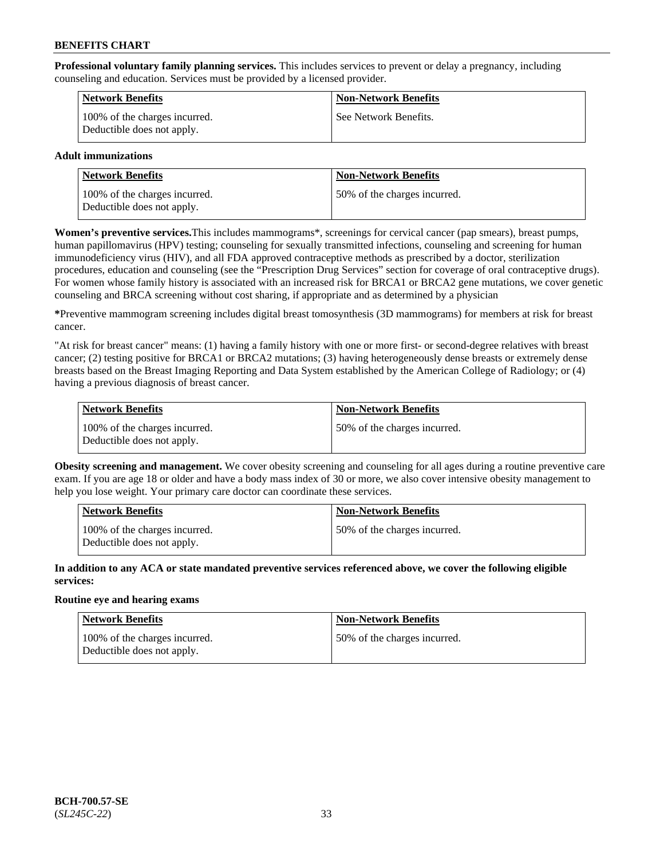**Professional voluntary family planning services.** This includes services to prevent or delay a pregnancy, including counseling and education. Services must be provided by a licensed provider.

| <b>Network Benefits</b>                                     | <b>Non-Network Benefits</b> |
|-------------------------------------------------------------|-----------------------------|
| 100% of the charges incurred.<br>Deductible does not apply. | See Network Benefits.       |

### **Adult immunizations**

| <b>Network Benefits</b>                                     | <b>Non-Network Benefits</b>   |
|-------------------------------------------------------------|-------------------------------|
| 100% of the charges incurred.<br>Deductible does not apply. | 150% of the charges incurred. |

**Women's preventive services.**This includes mammograms\*, screenings for cervical cancer (pap smears), breast pumps, human papillomavirus (HPV) testing; counseling for sexually transmitted infections, counseling and screening for human immunodeficiency virus (HIV), and all FDA approved contraceptive methods as prescribed by a doctor, sterilization procedures, education and counseling (see the "Prescription Drug Services" section for coverage of oral contraceptive drugs). For women whose family history is associated with an increased risk for BRCA1 or BRCA2 gene mutations, we cover genetic counseling and BRCA screening without cost sharing, if appropriate and as determined by a physician

**\***Preventive mammogram screening includes digital breast tomosynthesis (3D mammograms) for members at risk for breast cancer.

"At risk for breast cancer" means: (1) having a family history with one or more first- or second-degree relatives with breast cancer; (2) testing positive for BRCA1 or BRCA2 mutations; (3) having heterogeneously dense breasts or extremely dense breasts based on the Breast Imaging Reporting and Data System established by the American College of Radiology; or (4) having a previous diagnosis of breast cancer.

| Network Benefits                                            | <b>Non-Network Benefits</b>  |
|-------------------------------------------------------------|------------------------------|
| 100% of the charges incurred.<br>Deductible does not apply. | 50% of the charges incurred. |

**Obesity screening and management.** We cover obesity screening and counseling for all ages during a routine preventive care exam. If you are age 18 or older and have a body mass index of 30 or more, we also cover intensive obesity management to help you lose weight. Your primary care doctor can coordinate these services.

| Network Benefits                                            | <b>Non-Network Benefits</b>  |
|-------------------------------------------------------------|------------------------------|
| 100% of the charges incurred.<br>Deductible does not apply. | 50% of the charges incurred. |

**In addition to any ACA or state mandated preventive services referenced above, we cover the following eligible services:**

### **Routine eye and hearing exams**

| Network Benefits                                            | <b>Non-Network Benefits</b>  |
|-------------------------------------------------------------|------------------------------|
| 100% of the charges incurred.<br>Deductible does not apply. | 50% of the charges incurred. |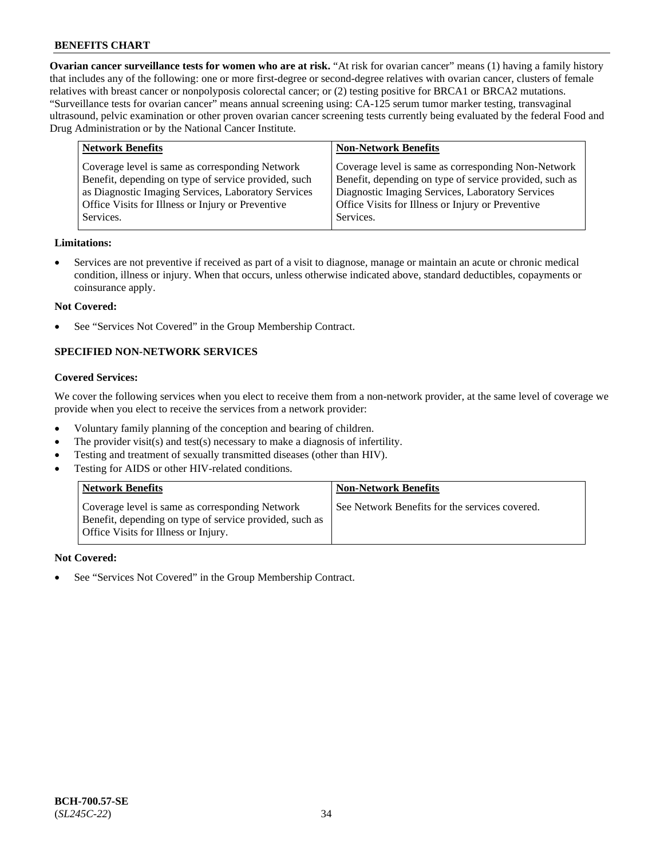**Ovarian cancer surveillance tests for women who are at risk.** "At risk for ovarian cancer" means (1) having a family history that includes any of the following: one or more first-degree or second-degree relatives with ovarian cancer, clusters of female relatives with breast cancer or nonpolyposis colorectal cancer; or (2) testing positive for BRCA1 or BRCA2 mutations. "Surveillance tests for ovarian cancer" means annual screening using: CA-125 serum tumor marker testing, transvaginal ultrasound, pelvic examination or other proven ovarian cancer screening tests currently being evaluated by the federal Food and Drug Administration or by the National Cancer Institute.

| <b>Network Benefits</b>                                                                                                                                                                                                          | <b>Non-Network Benefits</b>                                                                                                                                                                                                          |
|----------------------------------------------------------------------------------------------------------------------------------------------------------------------------------------------------------------------------------|--------------------------------------------------------------------------------------------------------------------------------------------------------------------------------------------------------------------------------------|
| Coverage level is same as corresponding Network<br>Benefit, depending on type of service provided, such<br>as Diagnostic Imaging Services, Laboratory Services<br>Office Visits for Illness or Injury or Preventive<br>Services. | Coverage level is same as corresponding Non-Network<br>Benefit, depending on type of service provided, such as<br>Diagnostic Imaging Services, Laboratory Services<br>Office Visits for Illness or Injury or Preventive<br>Services. |
|                                                                                                                                                                                                                                  |                                                                                                                                                                                                                                      |

#### **Limitations:**

• Services are not preventive if received as part of a visit to diagnose, manage or maintain an acute or chronic medical condition, illness or injury. When that occurs, unless otherwise indicated above, standard deductibles, copayments or coinsurance apply.

#### **Not Covered:**

See "Services Not Covered" in the Group Membership Contract.

### **SPECIFIED NON-NETWORK SERVICES**

# **Covered Services:**

We cover the following services when you elect to receive them from a non-network provider, at the same level of coverage we provide when you elect to receive the services from a network provider:

- Voluntary family planning of the conception and bearing of children.
- The provider visit(s) and test(s) necessary to make a diagnosis of infertility.
- Testing and treatment of sexually transmitted diseases (other than HIV).
- Testing for AIDS or other HIV-related conditions.

| <b>Network Benefits</b>                                                                                                                            | <b>Non-Network Benefits</b>                    |
|----------------------------------------------------------------------------------------------------------------------------------------------------|------------------------------------------------|
| Coverage level is same as corresponding Network<br>Benefit, depending on type of service provided, such as<br>Office Visits for Illness or Injury. | See Network Benefits for the services covered. |

#### **Not Covered:**

See "Services Not Covered" in the Group Membership Contract.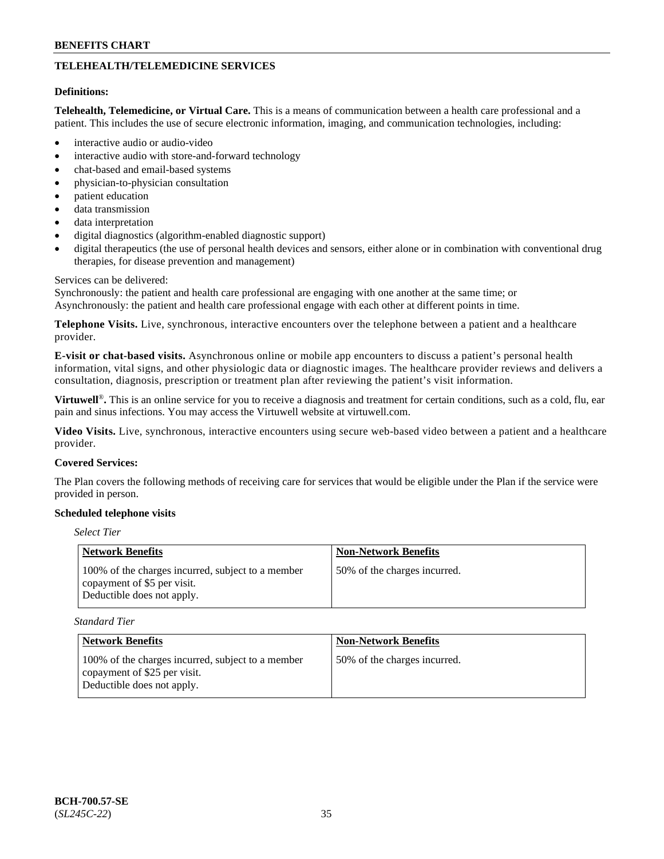# **TELEHEALTH/TELEMEDICINE SERVICES**

#### **Definitions:**

**Telehealth, Telemedicine, or Virtual Care.** This is a means of communication between a health care professional and a patient. This includes the use of secure electronic information, imaging, and communication technologies, including:

- interactive audio or audio-video
- interactive audio with store-and-forward technology
- chat-based and email-based systems
- physician-to-physician consultation
- patient education
- data transmission
- data interpretation
- digital diagnostics (algorithm-enabled diagnostic support)
- digital therapeutics (the use of personal health devices and sensors, either alone or in combination with conventional drug therapies, for disease prevention and management)

#### Services can be delivered:

Synchronously: the patient and health care professional are engaging with one another at the same time; or Asynchronously: the patient and health care professional engage with each other at different points in time.

**Telephone Visits.** Live, synchronous, interactive encounters over the telephone between a patient and a healthcare provider.

**E-visit or chat-based visits.** Asynchronous online or mobile app encounters to discuss a patient's personal health information, vital signs, and other physiologic data or diagnostic images. The healthcare provider reviews and delivers a consultation, diagnosis, prescription or treatment plan after reviewing the patient's visit information.

**Virtuwell<sup>®</sup>**. This is an online service for you to receive a diagnosis and treatment for certain conditions, such as a cold, flu, ear pain and sinus infections. You may access the Virtuwell website at [virtuwell.com.](https://www.virtuwell.com/)

**Video Visits.** Live, synchronous, interactive encounters using secure web-based video between a patient and a healthcare provider.

#### **Covered Services:**

The Plan covers the following methods of receiving care for services that would be eligible under the Plan if the service were provided in person.

#### **Scheduled telephone visits**

### *Select Tier*

| Network Benefits                                                                                               | <b>Non-Network Benefits</b>  |
|----------------------------------------------------------------------------------------------------------------|------------------------------|
| 100% of the charges incurred, subject to a member<br>copayment of \$5 per visit.<br>Deductible does not apply. | 50% of the charges incurred. |

*Standard Tier*

| Network Benefits                                                                                                | <b>Non-Network Benefits</b>  |
|-----------------------------------------------------------------------------------------------------------------|------------------------------|
| 100% of the charges incurred, subject to a member<br>copayment of \$25 per visit.<br>Deductible does not apply. | 50% of the charges incurred. |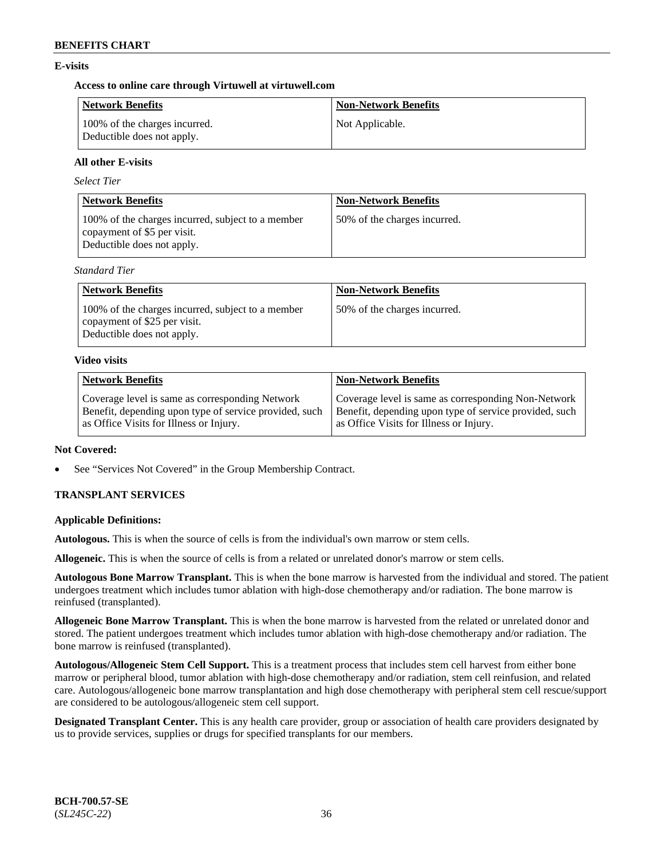# **E-visits**

### **Access to online care through Virtuwell at [virtuwell.com](https://www.virtuwell.com/)**

| <b>Network Benefits</b>                                     | <b>Non-Network Benefits</b> |
|-------------------------------------------------------------|-----------------------------|
| 100% of the charges incurred.<br>Deductible does not apply. | Not Applicable.             |

### **All other E-visits**

*Select Tier*

| <b>Network Benefits</b>                                                                                        | <b>Non-Network Benefits</b>  |
|----------------------------------------------------------------------------------------------------------------|------------------------------|
| 100% of the charges incurred, subject to a member<br>copayment of \$5 per visit.<br>Deductible does not apply. | 50% of the charges incurred. |

*Standard Tier*

| <b>Network Benefits</b>                                                                                         | <b>Non-Network Benefits</b>  |
|-----------------------------------------------------------------------------------------------------------------|------------------------------|
| 100% of the charges incurred, subject to a member<br>copayment of \$25 per visit.<br>Deductible does not apply. | 50% of the charges incurred. |

#### **Video visits**

| <b>Network Benefits</b>                                | <b>Non-Network Benefits</b>                            |
|--------------------------------------------------------|--------------------------------------------------------|
| Coverage level is same as corresponding Network        | Coverage level is same as corresponding Non-Network    |
| Benefit, depending upon type of service provided, such | Benefit, depending upon type of service provided, such |
| as Office Visits for Illness or Injury.                | as Office Visits for Illness or Injury.                |

### **Not Covered:**

See "Services Not Covered" in the Group Membership Contract.

# **TRANSPLANT SERVICES**

### **Applicable Definitions:**

**Autologous.** This is when the source of cells is from the individual's own marrow or stem cells.

**Allogeneic.** This is when the source of cells is from a related or unrelated donor's marrow or stem cells.

**Autologous Bone Marrow Transplant.** This is when the bone marrow is harvested from the individual and stored. The patient undergoes treatment which includes tumor ablation with high-dose chemotherapy and/or radiation. The bone marrow is reinfused (transplanted).

**Allogeneic Bone Marrow Transplant.** This is when the bone marrow is harvested from the related or unrelated donor and stored. The patient undergoes treatment which includes tumor ablation with high-dose chemotherapy and/or radiation. The bone marrow is reinfused (transplanted).

**Autologous/Allogeneic Stem Cell Support.** This is a treatment process that includes stem cell harvest from either bone marrow or peripheral blood, tumor ablation with high-dose chemotherapy and/or radiation, stem cell reinfusion, and related care. Autologous/allogeneic bone marrow transplantation and high dose chemotherapy with peripheral stem cell rescue/support are considered to be autologous/allogeneic stem cell support.

**Designated Transplant Center.** This is any health care provider, group or association of health care providers designated by us to provide services, supplies or drugs for specified transplants for our members.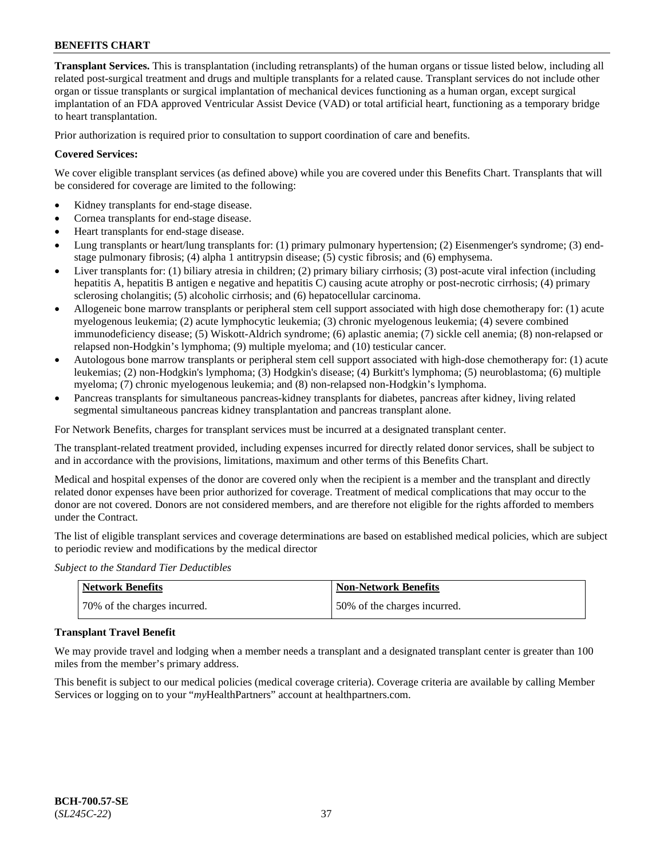**Transplant Services.** This is transplantation (including retransplants) of the human organs or tissue listed below, including all related post-surgical treatment and drugs and multiple transplants for a related cause. Transplant services do not include other organ or tissue transplants or surgical implantation of mechanical devices functioning as a human organ, except surgical implantation of an FDA approved Ventricular Assist Device (VAD) or total artificial heart, functioning as a temporary bridge to heart transplantation.

Prior authorization is required prior to consultation to support coordination of care and benefits.

### **Covered Services:**

We cover eligible transplant services (as defined above) while you are covered under this Benefits Chart. Transplants that will be considered for coverage are limited to the following:

- Kidney transplants for end-stage disease.
- Cornea transplants for end-stage disease.
- Heart transplants for end-stage disease.
- Lung transplants or heart/lung transplants for: (1) primary pulmonary hypertension; (2) Eisenmenger's syndrome; (3) endstage pulmonary fibrosis; (4) alpha 1 antitrypsin disease; (5) cystic fibrosis; and (6) emphysema.
- Liver transplants for: (1) biliary atresia in children; (2) primary biliary cirrhosis; (3) post-acute viral infection (including hepatitis A, hepatitis B antigen e negative and hepatitis C) causing acute atrophy or post-necrotic cirrhosis; (4) primary sclerosing cholangitis; (5) alcoholic cirrhosis; and (6) hepatocellular carcinoma.
- Allogeneic bone marrow transplants or peripheral stem cell support associated with high dose chemotherapy for: (1) acute myelogenous leukemia; (2) acute lymphocytic leukemia; (3) chronic myelogenous leukemia; (4) severe combined immunodeficiency disease; (5) Wiskott-Aldrich syndrome; (6) aplastic anemia; (7) sickle cell anemia; (8) non-relapsed or relapsed non-Hodgkin's lymphoma; (9) multiple myeloma; and (10) testicular cancer.
- Autologous bone marrow transplants or peripheral stem cell support associated with high-dose chemotherapy for: (1) acute leukemias; (2) non-Hodgkin's lymphoma; (3) Hodgkin's disease; (4) Burkitt's lymphoma; (5) neuroblastoma; (6) multiple myeloma; (7) chronic myelogenous leukemia; and (8) non-relapsed non-Hodgkin's lymphoma.
- Pancreas transplants for simultaneous pancreas-kidney transplants for diabetes, pancreas after kidney, living related segmental simultaneous pancreas kidney transplantation and pancreas transplant alone.

For Network Benefits, charges for transplant services must be incurred at a designated transplant center.

The transplant-related treatment provided, including expenses incurred for directly related donor services, shall be subject to and in accordance with the provisions, limitations, maximum and other terms of this Benefits Chart.

Medical and hospital expenses of the donor are covered only when the recipient is a member and the transplant and directly related donor expenses have been prior authorized for coverage. Treatment of medical complications that may occur to the donor are not covered. Donors are not considered members, and are therefore not eligible for the rights afforded to members under the Contract.

The list of eligible transplant services and coverage determinations are based on established medical policies, which are subject to periodic review and modifications by the medical director

*Subject to the Standard Tier Deductibles*

| Network Benefits             | <b>Non-Network Benefits</b>  |
|------------------------------|------------------------------|
| 70% of the charges incurred. | 50% of the charges incurred. |

#### **Transplant Travel Benefit**

We may provide travel and lodging when a member needs a transplant and a designated transplant center is greater than 100 miles from the member's primary address.

This benefit is subject to our medical policies (medical coverage criteria). Coverage criteria are available by calling Member Services or logging on to your "*my*HealthPartners" account at [healthpartners.com.](http://www.healthpartners.com/)